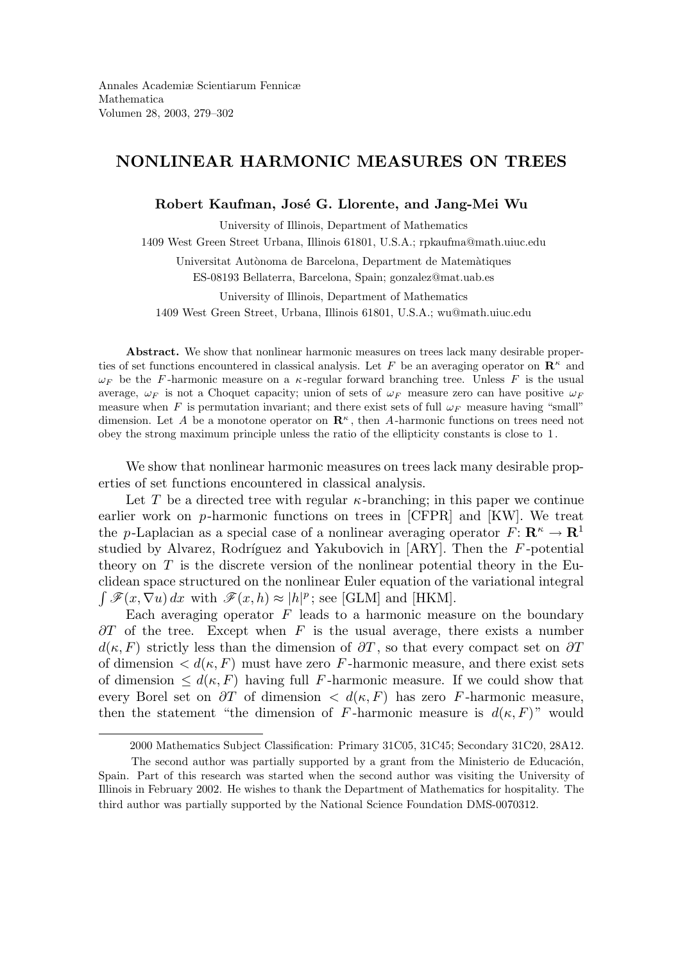# NONLINEAR HARMONIC MEASURES ON TREES

Robert Kaufman, José G. Llorente, and Jang-Mei Wu

University of Illinois, Department of Mathematics 1409 West Green Street Urbana, Illinois 61801, U.S.A.; rpkaufma@math.uiuc.edu

Universitat Autònoma de Barcelona, Department de Matemàtiques ES-08193 Bellaterra, Barcelona, Spain; gonzalez@mat.uab.es

University of Illinois, Department of Mathematics 1409 West Green Street, Urbana, Illinois 61801, U.S.A.; wu@math.uiuc.edu

Abstract. We show that nonlinear harmonic measures on trees lack many desirable properties of set functions encountered in classical analysis. Let F be an averaging operator on  $\mathbb{R}^{\kappa}$  and  $\omega_F$  be the F-harmonic measure on a  $\kappa$ -regular forward branching tree. Unless F is the usual average,  $\omega_F$  is not a Choquet capacity; union of sets of  $\omega_F$  measure zero can have positive  $\omega_F$ measure when F is permutation invariant; and there exist sets of full  $\omega_F$  measure having "small" dimension. Let A be a monotone operator on  $\mathbb{R}^{\kappa}$ , then A-harmonic functions on trees need not obey the strong maximum principle unless the ratio of the ellipticity constants is close to 1.

We show that nonlinear harmonic measures on trees lack many desirable properties of set functions encountered in classical analysis.

Let T be a directed tree with regular  $\kappa$ -branching; in this paper we continue earlier work on p-harmonic functions on trees in [CFPR] and [KW]. We treat the p-Laplacian as a special case of a nonlinear averaging operator  $F: \mathbb{R}^k \to \mathbb{R}^1$ studied by Alvarez, Rodríguez and Yakubovich in  $[ARY]$ . Then the F-potential theory on  $T$  is the discrete version of the nonlinear potential theory in the Euclidean space structured on the nonlinear Euler equation of the variational integral  $\int \mathscr{F}(x,\nabla u) dx$  with  $\mathscr{F}(x,h) \approx |h|^p$ ; see [GLM] and [HKM].

Each averaging operator  $F$  leads to a harmonic measure on the boundary  $\partial T$  of the tree. Except when F is the usual average, there exists a number  $d(\kappa, F)$  strictly less than the dimension of  $\partial T$ , so that every compact set on  $\partial T$ of dimension  $\langle d(\kappa, F) \rangle$  must have zero F-harmonic measure, and there exist sets of dimension  $\leq d(\kappa, F)$  having full F-harmonic measure. If we could show that every Borel set on  $\partial T$  of dimension  $\langle d(\kappa, F) \rangle$  has zero F-harmonic measure, then the statement "the dimension of F-harmonic measure is  $d(\kappa, F)$ " would

<sup>2000</sup> Mathematics Subject Classification: Primary 31C05, 31C45; Secondary 31C20, 28A12.

The second author was partially supported by a grant from the Ministerio de Educación, Spain. Part of this research was started when the second author was visiting the University of Illinois in February 2002. He wishes to thank the Department of Mathematics for hospitality. The third author was partially supported by the National Science Foundation DMS-0070312.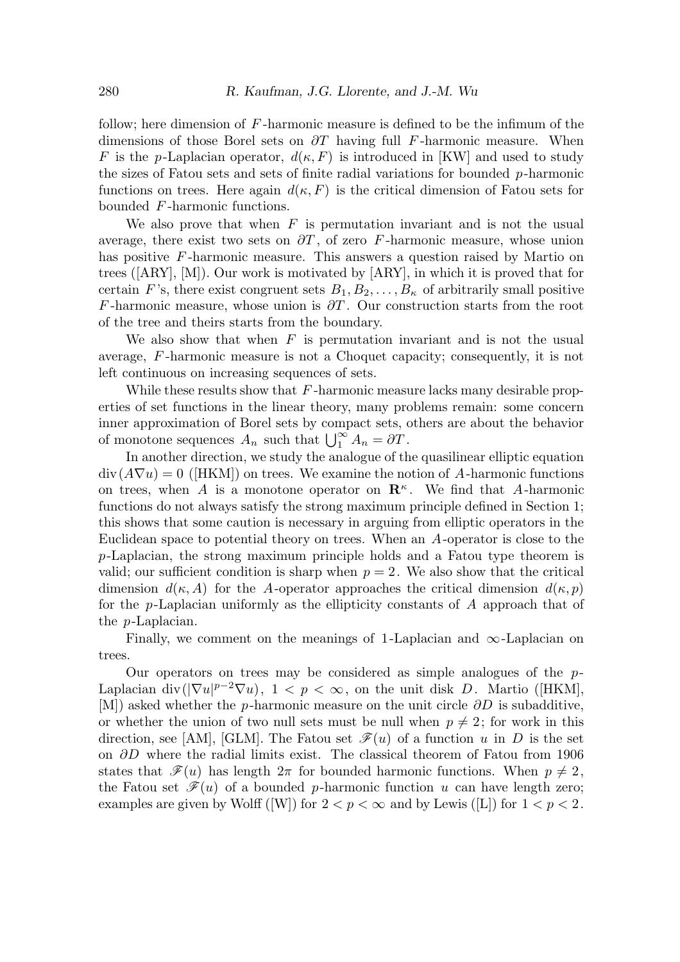follow; here dimension of  $F$ -harmonic measure is defined to be the infimum of the dimensions of those Borel sets on  $\partial T$  having full F-harmonic measure. When F is the p-Laplacian operator,  $d(\kappa, F)$  is introduced in [KW] and used to study the sizes of Fatou sets and sets of finite radial variations for bounded  $p$ -harmonic functions on trees. Here again  $d(\kappa, F)$  is the critical dimension of Fatou sets for bounded F -harmonic functions.

We also prove that when  $F$  is permutation invariant and is not the usual average, there exist two sets on  $\partial T$ , of zero F-harmonic measure, whose union has positive F-harmonic measure. This answers a question raised by Martio on trees ([ARY], [M]). Our work is motivated by [ARY], in which it is proved that for certain F's, there exist congruent sets  $B_1, B_2, \ldots, B_{\kappa}$  of arbitrarily small positive F-harmonic measure, whose union is  $\partial T$ . Our construction starts from the root of the tree and theirs starts from the boundary.

We also show that when  $F$  is permutation invariant and is not the usual average, F -harmonic measure is not a Choquet capacity; consequently, it is not left continuous on increasing sequences of sets.

While these results show that  $F$ -harmonic measure lacks many desirable properties of set functions in the linear theory, many problems remain: some concern inner approximation of Borel sets by compact sets, others are about the behavior of monotone sequences  $A_n$  such that  $\bigcup_{1}^{\infty} A_n = \partial T$ .

In another direction, we study the analogue of the quasilinear elliptic equation  $div(A\nabla u) = 0$  ([HKM]) on trees. We examine the notion of A-harmonic functions on trees, when A is a monotone operator on  $\mathbb{R}^k$ . We find that A-harmonic functions do not always satisfy the strong maximum principle defined in Section 1; this shows that some caution is necessary in arguing from elliptic operators in the Euclidean space to potential theory on trees. When an A-operator is close to the p-Laplacian, the strong maximum principle holds and a Fatou type theorem is valid; our sufficient condition is sharp when  $p = 2$ . We also show that the critical dimension  $d(\kappa, A)$  for the A-operator approaches the critical dimension  $d(\kappa, p)$ for the p-Laplacian uniformly as the ellipticity constants of A approach that of the p-Laplacian.

Finally, we comment on the meanings of 1-Laplacian and  $\infty$ -Laplacian on trees.

Our operators on trees may be considered as simple analogues of the  $p$ -Laplacian div( $|\nabla u|^{p-2}\nabla u$ ),  $1 < p < \infty$ , on the unit disk D. Martio ([HKM], [M]) asked whether the p-harmonic measure on the unit circle  $\partial D$  is subadditive, or whether the union of two null sets must be null when  $p \neq 2$ ; for work in this direction, see [AM], [GLM]. The Fatou set  $\mathscr{F}(u)$  of a function u in D is the set on  $\partial D$  where the radial limits exist. The classical theorem of Fatou from 1906 states that  $\mathscr{F}(u)$  has length  $2\pi$  for bounded harmonic functions. When  $p \neq 2$ , the Fatou set  $\mathscr{F}(u)$  of a bounded p-harmonic function u can have length zero; examples are given by Wolff ([W]) for  $2 < p < \infty$  and by Lewis ([L]) for  $1 < p < 2$ .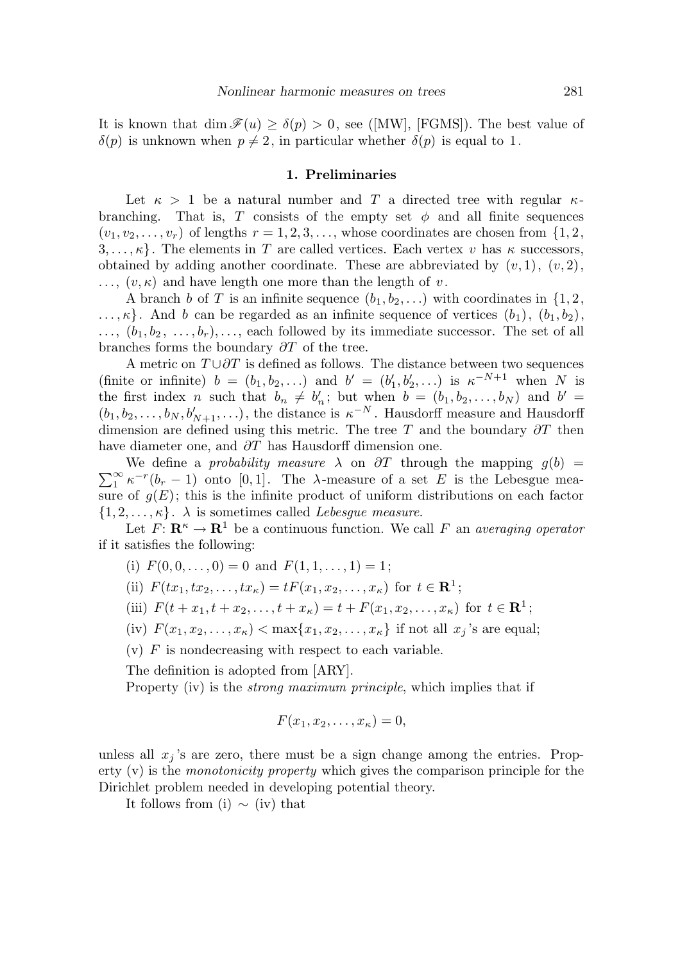It is known that dim  $\mathscr{F}(u) \geq \delta(p) > 0$ , see ([MW], [FGMS]). The best value of  $\delta(p)$  is unknown when  $p \neq 2$ , in particular whether  $\delta(p)$  is equal to 1.

#### 1. Preliminaries

Let  $\kappa > 1$  be a natural number and T a directed tree with regular  $\kappa$ branching. That is, T consists of the empty set  $\phi$  and all finite sequences  $(v_1, v_2, \ldots, v_r)$  of lengths  $r = 1, 2, 3, \ldots$ , whose coordinates are chosen from  $\{1, 2, \ldots, v_r\}$  $3, \ldots, \kappa$ . The elements in T are called vertices. Each vertex v has  $\kappa$  successors, obtained by adding another coordinate. These are abbreviated by  $(v, 1), (v, 2),$  $\ldots$ ,  $(v, \kappa)$  and have length one more than the length of v.

A branch b of T is an infinite sequence  $(b_1, b_2, \ldots)$  with coordinates in  $\{1, 2, \ldots\}$  $\ldots, \kappa$ . And b can be regarded as an infinite sequence of vertices  $(b_1), (b_1, b_2)$ ,  $\ldots, (b_1, b_2, \ldots, b_r), \ldots$ , each followed by its immediate successor. The set of all branches forms the boundary  $\partial T$  of the tree.

A metric on  $T \cup \partial T$  is defined as follows. The distance between two sequences (finite or infinite)  $b = (b_1, b_2, ...)$  and  $b' = (b'_1, b'_2, ...)$  is  $\kappa^{-N+1}$  when N is the first index n such that  $b_n \neq b'_n$ ; but when  $b = (b_1, b_2, \ldots, b_N)$  and  $b' =$  $(b_1, b_2, \ldots, b_N, b'_{N+1}, \ldots)$ , the distance is  $\kappa^{-N}$ . Hausdorff measure and Hausdorff dimension are defined using this metric. The tree T and the boundary  $\partial T$  then have diameter one, and  $\partial T$  has Hausdorff dimension one.

 $\sum_{1}^{\infty} \kappa^{-r} (b_r - 1)$  onto [0, 1]. The  $\lambda$ -measure of a set E is the Lebesgue mea-We define a *probability measure*  $\lambda$  on  $\partial T$  through the mapping  $g(b)$  = sure of  $g(E)$ ; this is the infinite product of uniform distributions on each factor  $\{1, 2, \ldots, \kappa\}$ .  $\lambda$  is sometimes called *Lebesgue measure*.

Let  $F: \mathbf{R}^{\kappa} \to \mathbf{R}^1$  be a continuous function. We call F an averaging operator if it satisfies the following:

- (i)  $F(0, 0, \ldots, 0) = 0$  and  $F(1, 1, \ldots, 1) = 1$ ;
- (ii)  $F(tx_1, tx_2,...,tx_{\kappa}) = tF(x_1, x_2,...,x_{\kappa})$  for  $t \in \mathbb{R}^1$ ;
- (iii)  $F(t + x_1, t + x_2, \dots, t + x_\kappa) = t + F(x_1, x_2, \dots, x_\kappa)$  for  $t \in \mathbb{R}^1$ ;
- (iv)  $F(x_1, x_2, ..., x_{\kappa}) < \max\{x_1, x_2, ..., x_{\kappa}\}\$ if not all  $x_i$ 's are equal;

 $(v)$  F is nondecreasing with respect to each variable.

The definition is adopted from [ARY].

Property (iv) is the *strong maximum principle*, which implies that if

$$
F(x_1, x_2, \ldots, x_\kappa) = 0,
$$

unless all  $x_j$ 's are zero, there must be a sign change among the entries. Property  $(v)$  is the *monotonicity property* which gives the comparison principle for the Dirichlet problem needed in developing potential theory.

It follows from (i)  $\sim$  (iv) that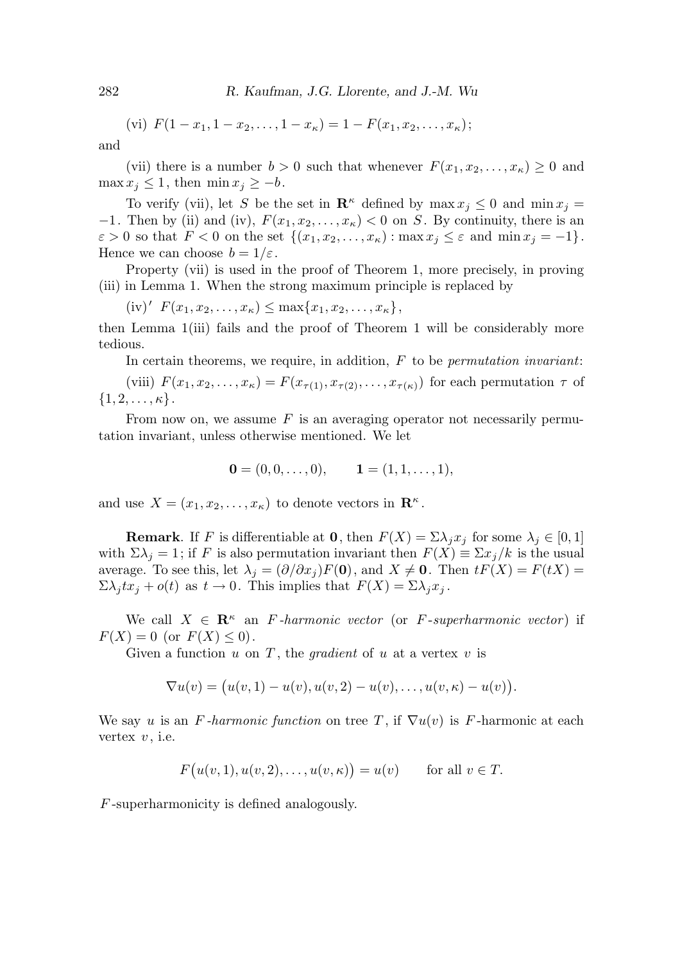(vi) 
$$
F(1-x_1, 1-x_2,..., 1-x_\kappa) = 1 - F(x_1, x_2,..., x_\kappa);
$$

and

(vii) there is a number  $b > 0$  such that whenever  $F(x_1, x_2, \ldots, x_{\kappa}) \geq 0$  and  $\max x_j \leq 1$ , then  $\min x_j \geq -b$ .

To verify (vii), let S be the set in  $\mathbf{R}^{\kappa}$  defined by  $\max x_i \leq 0$  and  $\min x_i =$  $-1$ . Then by (ii) and (iv),  $F(x_1, x_2, \ldots, x_k) < 0$  on S. By continuity, there is an  $\varepsilon > 0$  so that  $F < 0$  on the set  $\{(x_1, x_2, \ldots, x_{\kappa}) : \max x_j \leq \varepsilon \text{ and } \min x_j = -1\}.$ Hence we can choose  $b = 1/\varepsilon$ .

Property (vii) is used in the proof of Theorem 1, more precisely, in proving (iii) in Lemma 1. When the strong maximum principle is replaced by

 $(iv)' F(x_1, x_2, \ldots, x_{\kappa}) \le \max\{x_1, x_2, \ldots, x_{\kappa}\},$ 

then Lemma 1(iii) fails and the proof of Theorem 1 will be considerably more tedious.

In certain theorems, we require, in addition,  $F$  to be *permutation invariant*:

(viii)  $F(x_1, x_2, \ldots, x_k) = F(x_{\tau(1)}, x_{\tau(2)}, \ldots, x_{\tau(k)})$  for each permutation  $\tau$  of  $\{1, 2, \ldots, \kappa\}.$ 

From now on, we assume  $F$  is an averaging operator not necessarily permutation invariant, unless otherwise mentioned. We let

$$
\mathbf{0} = (0, 0, \dots, 0), \qquad \mathbf{1} = (1, 1, \dots, 1),
$$

and use  $X = (x_1, x_2, \dots, x_\kappa)$  to denote vectors in  $\mathbb{R}^\kappa$ .

**Remark**. If F is differentiable at **0**, then  $F(X) = \sum \lambda_i x_i$  for some  $\lambda_i \in [0, 1]$ with  $\Sigma \lambda_i = 1$ ; if F is also permutation invariant then  $F(X) \equiv \Sigma x_i/k$  is the usual average. To see this, let  $\lambda_j = (\partial/\partial x_j)F(0)$ , and  $X \neq 0$ . Then  $tF(X) = F(tX) =$  $\Sigma \lambda_j t x_j + o(t)$  as  $t \to 0$ . This implies that  $F(X) = \Sigma \lambda_j x_j$ .

We call  $X \in \mathbb{R}^{\kappa}$  an F-harmonic vector (or F-superharmonic vector) if  $F(X) = 0$  (or  $F(X) \le 0$ ).

Given a function  $u$  on  $T$ , the *gradient* of  $u$  at a vertex  $v$  is

$$
\nabla u(v) = (u(v,1) - u(v), u(v,2) - u(v), \dots, u(v, \kappa) - u(v)).
$$

We say u is an F-harmonic function on tree T, if  $\nabla u(v)$  is F-harmonic at each vertex  $v$ , i.e.

$$
F(u(v, 1), u(v, 2), ..., u(v, \kappa)) = u(v)
$$
 for all  $v \in T$ .

F -superharmonicity is defined analogously.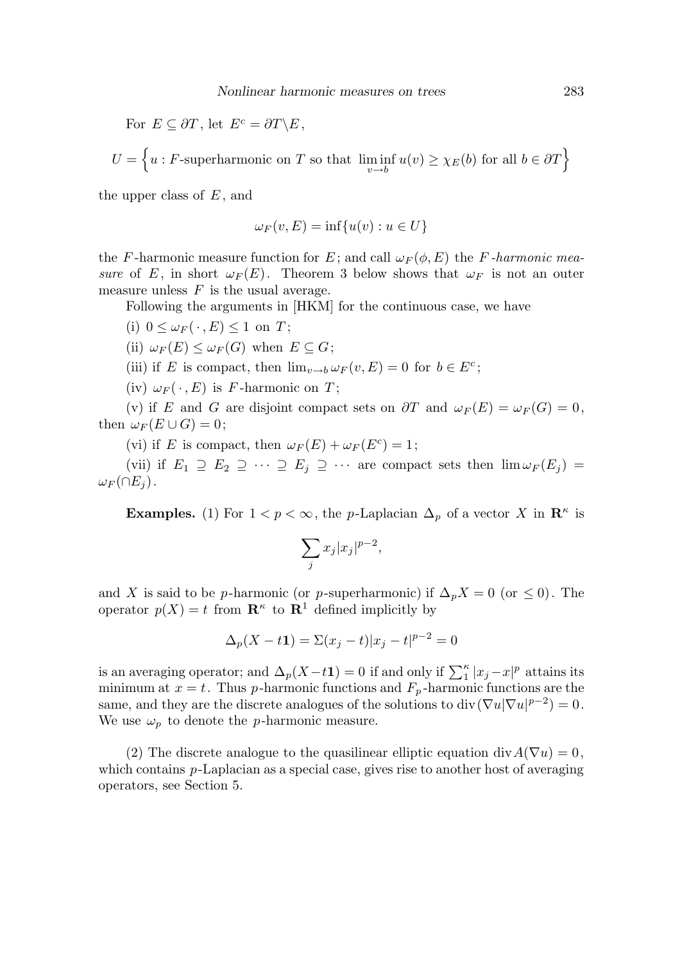For  $E \subseteq \partial T$ , let  $E^c = \partial T \backslash E$ ,

$$
U = \left\{ u : F\text{-superharmonic on } T \text{ so that } \liminf_{v \to b} u(v) \ge \chi_E(b) \text{ for all } b \in \partial T \right\}
$$

the upper class of  $E$ , and

$$
\omega_F(v, E) = \inf\{u(v) : u \in U\}
$$

the F-harmonic measure function for E; and call  $\omega_F(\phi, E)$  the F-harmonic measure of E, in short  $\omega_F(E)$ . Theorem 3 below shows that  $\omega_F$  is not an outer measure unless  $F$  is the usual average.

Following the arguments in [HKM] for the continuous case, we have

- (i)  $0 \leq \omega_F(\cdot, E) \leq 1$  on T;
- (ii)  $\omega_F(E) \leq \omega_F(G)$  when  $E \subseteq G$ ;
- (iii) if E is compact, then  $\lim_{v \to b} \omega_F(v, E) = 0$  for  $b \in E^c$ ;

(iv)  $\omega_F(\cdot, E)$  is F-harmonic on T;

(v) if E and G are disjoint compact sets on  $\partial T$  and  $\omega_F(E) = \omega_F(G) = 0$ , then  $\omega_F(E\cup G)=0$ ;

(vi) if E is compact, then  $\omega_F(E) + \omega_F(E^c) = 1$ ;

(vii) if  $E_1 \supseteq E_2 \supseteqeq \cdots \supseteq E_j \supseteqeqeqcdots$  are compact sets then  $\lim \omega_F(E_j) =$  $\omega_F(\cap E_i)$ .

**Examples.** (1) For  $1 < p < \infty$ , the *p*-Laplacian  $\Delta_p$  of a vector X in  $\mathbb{R}^k$  is

$$
\sum_j x_j |x_j|^{p-2},
$$

and X is said to be p-harmonic (or p-superharmonic) if  $\Delta_p X = 0$  (or  $\leq 0$ ). The operator  $p(X) = t$  from  $\mathbb{R}^k$  to  $\mathbb{R}^1$  defined implicitly by

$$
\Delta_p(X - t\mathbf{1}) = \Sigma(x_j - t)|x_j - t|^{p-2} = 0
$$

is an averaging operator; and  $\Delta_p(X-t1) = 0$  if and only if  $\sum_1^{\kappa} |x_j - x|^p$  attains its minimum at  $x = t$ . Thus p-harmonic functions and  $F_p$ -harmonic functions are the same, and they are the discrete analogues of the solutions to div $(\nabla u|\nabla u|^{p-2})=0$ . We use  $\omega_p$  to denote the *p*-harmonic measure.

(2) The discrete analogue to the quasilinear elliptic equation div  $A(\nabla u) = 0$ , which contains p-Laplacian as a special case, gives rise to another host of averaging operators, see Section 5.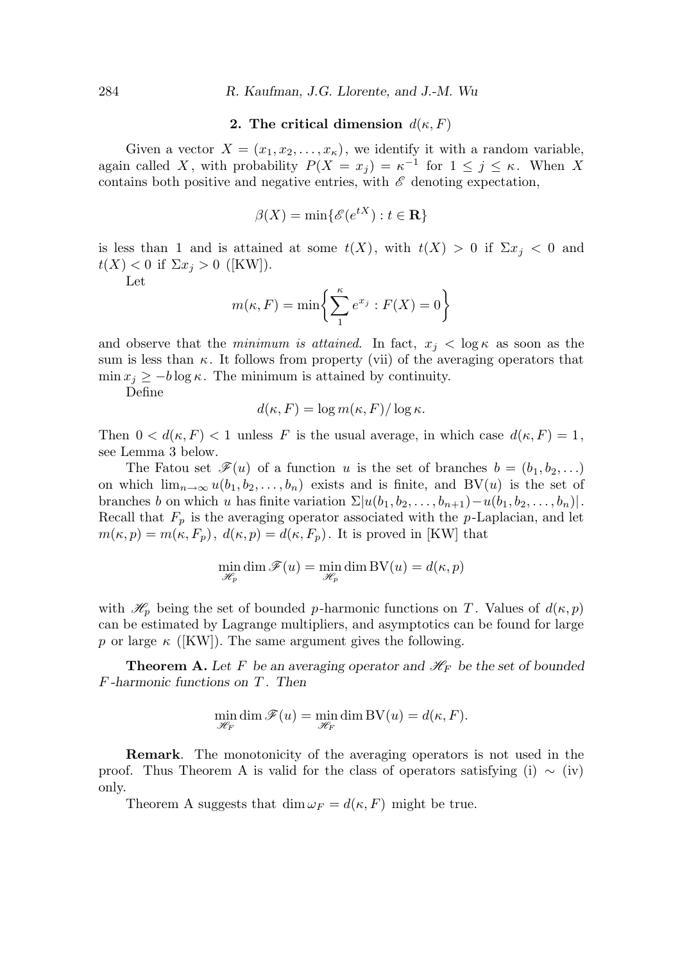# 2. The critical dimension  $d(\kappa, F)$

Given a vector  $X = (x_1, x_2, \ldots, x_{\kappa})$ , we identify it with a random variable, again called X, with probability  $P(X = x_j) = \kappa^{-1}$  for  $1 \leq j \leq \kappa$ . When X contains both positive and negative entries, with  $\mathscr E$  denoting expectation,

$$
\beta(X) = \min\{\mathscr{E}(e^{tX}) : t \in \mathbf{R}\}\
$$

is less than 1 and is attained at some  $t(X)$ , with  $t(X) > 0$  if  $\Sigma x_i < 0$  and  $t(X) < 0$  if  $\Sigma x_j > 0$  ([KW]).

Let

$$
m(\kappa, F) = \min\left\{\sum_{1}^{\kappa} e^{x_j} : F(X) = 0\right\}
$$

and observe that the *minimum is attained*. In fact,  $x_j < \log \kappa$  as soon as the sum is less than  $\kappa$ . It follows from property (vii) of the averaging operators that  $\min x_i \geq -b \log \kappa$ . The minimum is attained by continuity.

Define

$$
d(\kappa, F) = \log m(\kappa, F) / \log \kappa.
$$

Then  $0 < d(\kappa, F) < 1$  unless F is the usual average, in which case  $d(\kappa, F) = 1$ , see Lemma 3 below.

The Fatou set  $\mathscr{F}(u)$  of a function u is the set of branches  $b = (b_1, b_2, \ldots)$ on which  $\lim_{n\to\infty}u(b_1, b_2, \ldots, b_n)$  exists and is finite, and BV(u) is the set of branches b on which u has finite variation  $\Sigma |u(b_1, b_2, \ldots, b_{n+1})-u(b_1, b_2, \ldots, b_n)|$ . Recall that  $F_p$  is the averaging operator associated with the p-Laplacian, and let  $m(\kappa, p) = m(\kappa, F_p), d(\kappa, p) = d(\kappa, F_p)$ . It is proved in [KW] that

$$
\min_{\mathcal{H}_p} \dim \mathcal{F}(u) = \min_{\mathcal{H}_p} \dim \mathrm{BV}(u) = d(\kappa, p)
$$

with  $\mathcal{H}_p$  being the set of bounded p-harmonic functions on T. Values of  $d(\kappa, p)$ can be estimated by Lagrange multipliers, and asymptotics can be found for large p or large  $\kappa$  ([KW]). The same argument gives the following.

**Theorem A.** Let F be an averaging operator and  $\mathcal{H}_F$  be the set of bounded  $F$ -harmonic functions on  $T$ . Then

$$
\min_{\mathscr{H}_F} \dim \mathscr{F}(u) = \min_{\mathscr{H}_F} \dim BV(u) = d(\kappa, F).
$$

Remark. The monotonicity of the averaging operators is not used in the proof. Thus Theorem A is valid for the class of operators satisfying (i)  $\sim$  (iv) only.

Theorem A suggests that  $\dim \omega_F = d(\kappa, F)$  might be true.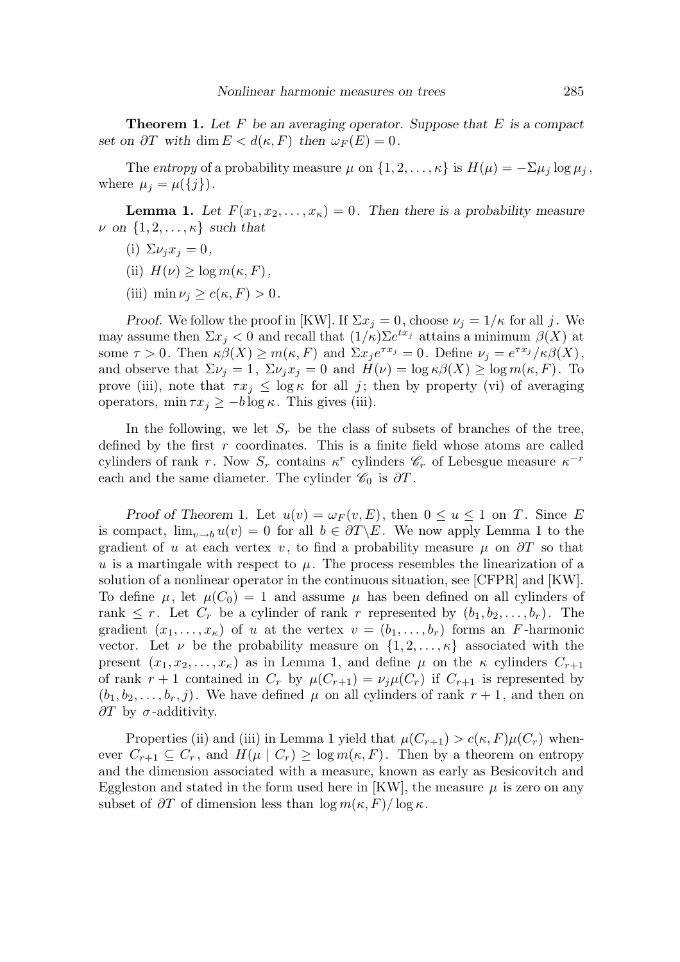**Theorem 1.** Let F be an averaging operator. Suppose that E is a compact set on  $\partial T$  with dim  $E < d(\kappa, F)$  then  $\omega_F(E) = 0$ .

The entropy of a probability measure  $\mu$  on  $\{1, 2, ..., \kappa\}$  is  $H(\mu) = -\sum \mu_i \log \mu_i$ , where  $\mu_j = \mu(\{j\})$ .

**Lemma 1.** Let  $F(x_1, x_2, \ldots, x_k) = 0$ . Then there is a probability measure  $\nu$  on  $\{1, 2, \ldots, \kappa\}$  such that

- (i)  $\Sigma \nu_i x_i = 0$ ,
- (ii)  $H(\nu) > \log m(\kappa, F)$ ,
- (iii) min  $\nu_i \geq c(\kappa, F) > 0$ .

*Proof.* We follow the proof in [KW]. If  $\Sigma x_i = 0$ , choose  $\nu_i = 1/\kappa$  for all j. We may assume then  $\Sigma x_j < 0$  and recall that  $(1/\kappa) \Sigma e^{tx_j}$  attains a minimum  $\beta(X)$  at some  $\tau > 0$ . Then  $\kappa \beta(X) \ge m(\kappa, F)$  and  $\Sigma x_j e^{\tau x_j} = 0$ . Define  $\nu_j = e^{\tau x_j}/\kappa \beta(X)$ , and observe that  $\Sigma \nu_j = 1$ ,  $\Sigma \nu_j x_j = 0$  and  $H(\nu) = \log \kappa \beta(X) \ge \log m(\kappa, F)$ . To prove (iii), note that  $\tau x_i \leq \log \kappa$  for all j; then by property (vi) of averaging operators,  $\min \tau x_j \geq -b \log \kappa$ . This gives (iii).

In the following, we let  $S_r$  be the class of subsets of branches of the tree, defined by the first  $r$  coordinates. This is a finite field whose atoms are called cylinders of rank r. Now  $S_r$  contains  $\kappa^r$  cylinders  $\mathscr{C}_r$  of Lebesgue measure  $\kappa^{-r}$ each and the same diameter. The cylinder  $\mathcal{C}_0$  is  $\partial T$ .

Proof of Theorem 1. Let  $u(v) = \omega_F(v, E)$ , then  $0 \le u \le 1$  on T. Since E is compact,  $\lim_{v\to b} u(v) = 0$  for all  $b \in \partial T \backslash E$ . We now apply Lemma 1 to the gradient of u at each vertex v, to find a probability measure  $\mu$  on  $\partial T$  so that u is a martingale with respect to  $\mu$ . The process resembles the linearization of a solution of a nonlinear operator in the continuous situation, see [CFPR] and [KW]. To define  $\mu$ , let  $\mu(C_0) = 1$  and assume  $\mu$  has been defined on all cylinders of rank  $\leq r$ . Let  $C_r$  be a cylinder of rank r represented by  $(b_1, b_2, \ldots, b_r)$ . The gradient  $(x_1, \ldots, x_k)$  of u at the vertex  $v = (b_1, \ldots, b_r)$  forms an F-harmonic vector. Let  $\nu$  be the probability measure on  $\{1, 2, \ldots, \kappa\}$  associated with the present  $(x_1, x_2, \ldots, x_{\kappa})$  as in Lemma 1, and define  $\mu$  on the  $\kappa$  cylinders  $C_{r+1}$ of rank  $r + 1$  contained in  $C_r$  by  $\mu(C_{r+1}) = \nu_j \mu(C_r)$  if  $C_{r+1}$  is represented by  $(b_1, b_2, \ldots, b_r, j)$ . We have defined  $\mu$  on all cylinders of rank  $r + 1$ , and then on  $\partial T$  by  $\sigma$ -additivity.

Properties (ii) and (iii) in Lemma 1 yield that  $\mu(C_{r+1}) > c(\kappa, F)\mu(C_r)$  whenever  $C_{r+1} \subseteq C_r$ , and  $H(\mu \mid C_r) \geq \log m(\kappa, F)$ . Then by a theorem on entropy and the dimension associated with a measure, known as early as Besicovitch and Eggleston and stated in the form used here in [KW], the measure  $\mu$  is zero on any subset of  $\partial T$  of dimension less than  $\log m(\kappa, F)/\log \kappa$ .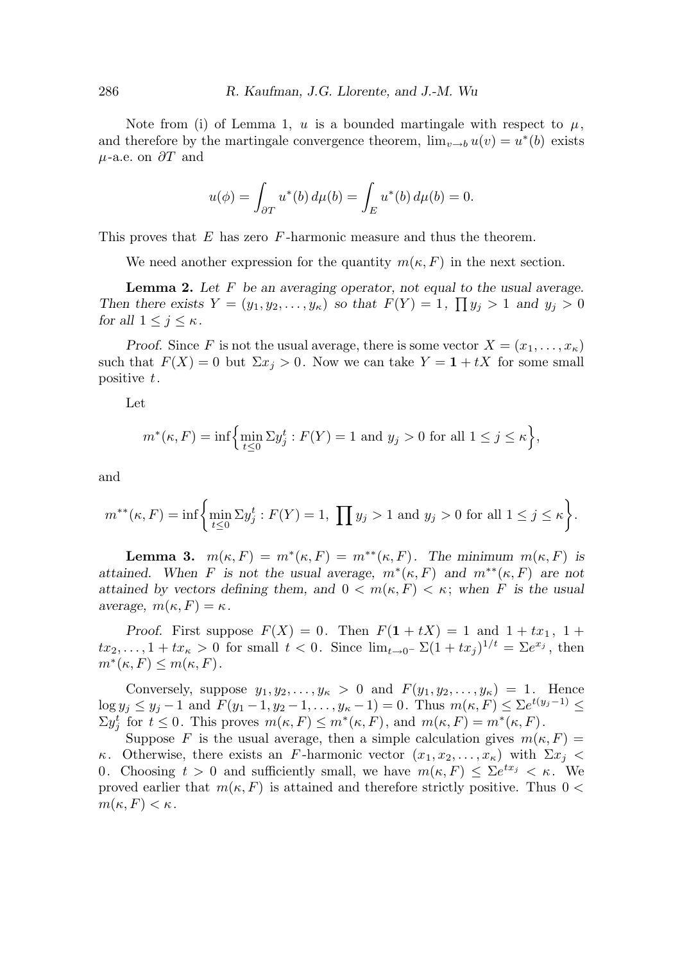Note from (i) of Lemma 1, u is a bounded martingale with respect to  $\mu$ , and therefore by the martingale convergence theorem,  $\lim_{v\to b} u(v) = u^*(b)$  exists  $\mu$ -a.e. on  $\partial T$  and

$$
u(\phi) = \int_{\partial T} u^*(b) \, d\mu(b) = \int_E u^*(b) \, d\mu(b) = 0.
$$

This proves that E has zero F-harmonic measure and thus the theorem.

We need another expression for the quantity  $m(\kappa, F)$  in the next section.

**Lemma 2.** Let  $F$  be an averaging operator, not equal to the usual average. Then there exists  $Y = (y_1, y_2, \dots, y_\kappa)$  so that  $F(Y) = 1$ ,  $\prod y_j > 1$  and  $y_j > 0$ for all  $1 \leq j \leq \kappa$ .

Proof. Since F is not the usual average, there is some vector  $X = (x_1, \ldots, x_{\kappa})$ such that  $F(X) = 0$  but  $\Sigma x_j > 0$ . Now we can take  $Y = 1 + tX$  for some small positive t.

Let

$$
m^*(\kappa, F) = \inf \Biggl\{ \min_{t \le 0} \Sigma y_j^t : F(Y) = 1 \text{ and } y_j > 0 \text{ for all } 1 \le j \le \kappa \Biggr\},\
$$

and

$$
m^{**}(\kappa, F) = \inf \bigg\{ \min_{t \le 0} \Sigma y_j^t : F(Y) = 1, \prod y_j > 1 \text{ and } y_j > 0 \text{ for all } 1 \le j \le \kappa \bigg\}.
$$

**Lemma 3.**  $m(\kappa, F) = m^*(\kappa, F) = m^{**}(\kappa, F)$ . The minimum  $m(\kappa, F)$  is attained. When F is not the usual average,  $m^*(\kappa, F)$  and  $m^{**}(\kappa, F)$  are not attained by vectors defining them, and  $0 < m(\kappa, F) < \kappa$ ; when F is the usual average,  $m(\kappa, F) = \kappa$ .

Proof. First suppose  $F(X) = 0$ . Then  $F(1 + tX) = 1$  and  $1 + tx_1$ ,  $1 +$  $tx_2, \ldots, 1 + tx_{\kappa} > 0$  for small  $t < 0$ . Since  $\lim_{t \to 0^-} \Sigma(1 + tx_j)^{1/t} = \Sigma e^{x_j}$ , then  $m^*(\kappa, F) \leq m(\kappa, F).$ 

Conversely, suppose  $y_1, y_2, \ldots, y_\kappa > 0$  and  $F(y_1, y_2, \ldots, y_\kappa) = 1$ . Hence  $\log y_j \leq y_j - 1$  and  $F(y_1 - 1, y_2 - 1, \ldots, y_{\kappa} - 1) = 0$ . Thus  $m(\kappa, F) \leq \sum e^{t(y_j - 1)} \leq$  $\Sigma y_j^t$  for  $t \leq 0$ . This proves  $m(\kappa, F) \leq m^*(\kappa, F)$ , and  $m(\kappa, F) = m^*(\kappa, F)$ .

Suppose F is the usual average, then a simple calculation gives  $m(\kappa, F) =$ κ. Otherwise, there exists an F-harmonic vector  $(x_1, x_2, \ldots, x_k)$  with  $\Sigma x_i$  < 0. Choosing  $t > 0$  and sufficiently small, we have  $m(\kappa, F) \leq \sum e^{tx_j} < \kappa$ . We proved earlier that  $m(\kappa, F)$  is attained and therefore strictly positive. Thus  $0 <$  $m(\kappa, F) < \kappa$ .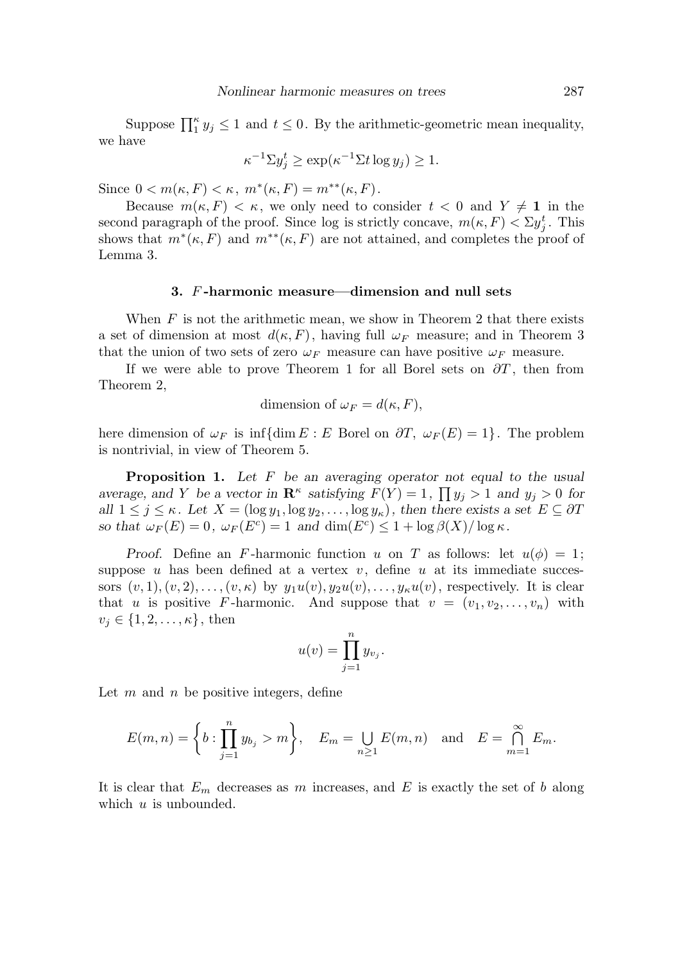Suppose  $\prod_{i=1}^{k} y_i \leq 1$  and  $t \leq 0$ . By the arithmetic-geometric mean inequality, we have

$$
\kappa^{-1} \Sigma y_j^t \ge \exp(\kappa^{-1} \Sigma t \log y_j) \ge 1.
$$

Since  $0 < m(\kappa, F) < \kappa$ ,  $m^*(\kappa, F) = m^{**}(\kappa, F)$ .

Because  $m(\kappa, F) < \kappa$ , we only need to consider  $t < 0$  and  $Y \neq 1$  in the second paragraph of the proof. Since log is strictly concave,  $m(\kappa, F) < \Sigma y_j^t$ . This shows that  $m^*(\kappa, F)$  and  $m^{**}(\kappa, F)$  are not attained, and completes the proof of Lemma 3.

### 3. F -harmonic measure—dimension and null sets

When  $F$  is not the arithmetic mean, we show in Theorem 2 that there exists a set of dimension at most  $d(\kappa, F)$ , having full  $\omega_F$  measure; and in Theorem 3 that the union of two sets of zero  $\omega_F$  measure can have positive  $\omega_F$  measure.

If we were able to prove Theorem 1 for all Borel sets on  $\partial T$ , then from Theorem 2,

dimension of 
$$
\omega_F = d(\kappa, F)
$$
,

here dimension of  $\omega_F$  is inf{dim E : E Borel on  $\partial T$ ,  $\omega_F(E) = 1$ }. The problem is nontrivial, in view of Theorem 5.

**Proposition 1.** Let  $F$  be an averaging operator not equal to the usual average, and Y be a vector in  $\mathbb{R}^k$  satisfying  $F(Y) = 1$ ,  $\prod y_j > 1$  and  $y_j > 0$  for all  $1 \leq j \leq \kappa$ . Let  $X = (\log y_1, \log y_2, \ldots, \log y_\kappa)$ , then there exists a set  $E \subseteq \partial T$ so that  $\omega_F(E) = 0$ ,  $\omega_F(E^c) = 1$  and  $\dim(E^c) \leq 1 + \log \beta(X) / \log \kappa$ .

Proof. Define an F-harmonic function u on T as follows: let  $u(\phi) = 1$ ; suppose u has been defined at a vertex  $v$ , define u at its immediate successors  $(v, 1), (v, 2), \ldots, (v, \kappa)$  by  $y_1u(v), y_2u(v), \ldots, y_{\kappa}u(v)$ , respectively. It is clear that u is positive F-harmonic. And suppose that  $v = (v_1, v_2, \ldots, v_n)$  with  $v_j \in \{1, 2, \ldots, \kappa\}$ , then

$$
u(v) = \prod_{j=1}^{n} y_{v_j}.
$$

Let  $m$  and  $n$  be positive integers, define

$$
E(m,n) = \left\{ b : \prod_{j=1}^{n} y_{b_j} > m \right\}, \quad E_m = \bigcup_{n \ge 1} E(m,n) \quad \text{and} \quad E = \bigcap_{m=1}^{\infty} E_m.
$$

It is clear that  $E_m$  decreases as m increases, and E is exactly the set of b along which  $u$  is unbounded.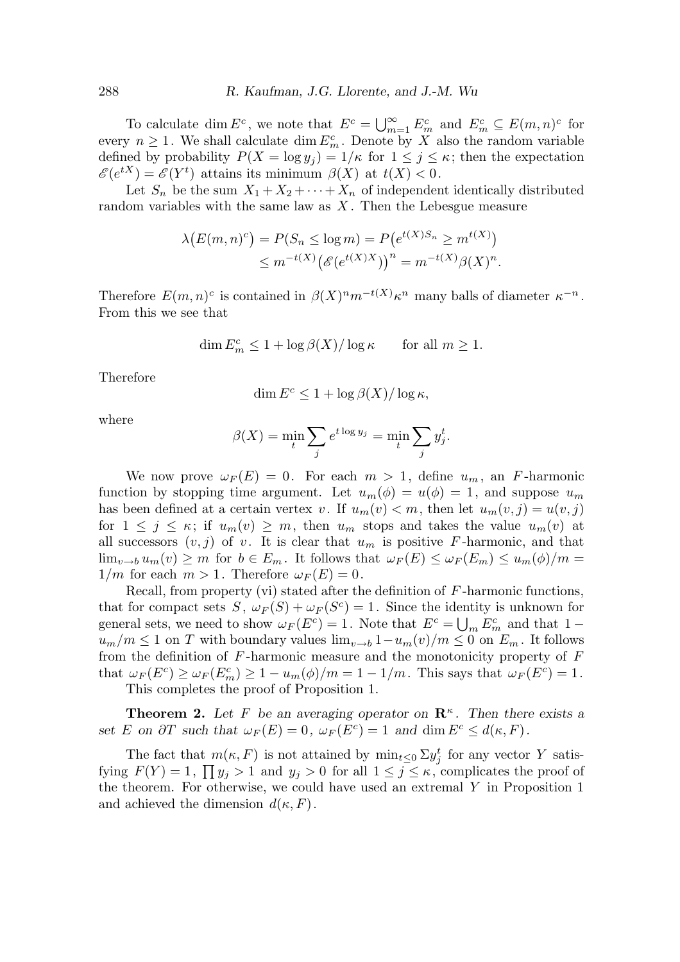To calculate dim  $E^c$ , we note that  $E^c = \bigcup_{m=1}^{\infty} E_m^c$  and  $E_m^c \subseteq E(m,n)^c$  for every  $n \geq 1$ . We shall calculate dim  $E_m^c$ . Denote by X also the random variable defined by probability  $P(X = \log y_i) = 1/\kappa$  for  $1 \leq j \leq \kappa$ ; then the expectation  $\mathscr{E}(e^{tX}) = \mathscr{E}(Y^t)$  attains its minimum  $\beta(X)$  at  $t(X) < 0$ .

Let  $S_n$  be the sum  $X_1 + X_2 + \cdots + X_n$  of independent identically distributed random variables with the same law as  $X$ . Then the Lebesgue measure

$$
\lambda(E(m,n)^c) = P(S_n \le \log m) = P(e^{t(X)S_n} \ge m^{t(X)})
$$
  

$$
\le m^{-t(X)} (\mathcal{E}(e^{t(X)X}))^n = m^{-t(X)} \beta(X)^n.
$$

Therefore  $E(m, n)^c$  is contained in  $\beta(X)^n m^{-t(X)} \kappa^n$  many balls of diameter  $\kappa^{-n}$ . From this we see that

$$
\dim E_m^c \le 1 + \log \beta(X) / \log \kappa \quad \text{for all } m \ge 1.
$$

Therefore

$$
\dim E^c \leq 1 + \log \beta(X)/\log \kappa,
$$

where

$$
\beta(X) = \min_{t} \sum_{j} e^{t \log y_j} = \min_{t} \sum_{j} y_j^t.
$$

We now prove  $\omega_F(E) = 0$ . For each  $m > 1$ , define  $u_m$ , an F-harmonic function by stopping time argument. Let  $u_m(\phi) = u(\phi) = 1$ , and suppose  $u_m$ has been defined at a certain vertex v. If  $u_m(v) < m$ , then let  $u_m(v, j) = u(v, j)$ for  $1 \leq j \leq \kappa$ ; if  $u_m(v) \geq m$ , then  $u_m$  stops and takes the value  $u_m(v)$  at all successors  $(v, j)$  of v. It is clear that  $u_m$  is positive F-harmonic, and that  $\lim_{v\to b} u_m(v) \geq m$  for  $b \in E_m$ . It follows that  $\omega_F(E) \leq \omega_F(E_m) \leq u_m(\phi)/m =$  $1/m$  for each  $m > 1$ . Therefore  $\omega_F(E) = 0$ .

Recall, from property (vi) stated after the definition of  $F$ -harmonic functions, that for compact sets  $S, \ \omega_F(S) + \omega_F(S^c) = 1$ . Since the identity is unknown for general sets, we need to show  $\omega_F(E^c) = 1$ . Note that  $E^c = \bigcup_m E_m^c$  and that  $1$  $u_m/m \leq 1$  on T with boundary values  $\lim_{v\to b} 1-u_m(v)/m \leq 0$  on  $E_m$ . It follows from the definition of  $F$ -harmonic measure and the monotonicity property of  $F$ that  $\omega_F(E^c) \ge \omega_F(E_m^c) \ge 1 - u_m(\phi)/m = 1 - 1/m$ . This says that  $\omega_F(E^c) = 1$ . This completes the proof of Proposition 1.

**Theorem 2.** Let F be an averaging operator on  $\mathbb{R}^k$ . Then there exists a set E on  $\partial T$  such that  $\omega_F(E) = 0$ ,  $\omega_F(E^c) = 1$  and  $\dim E^c \leq d(\kappa, F)$ .

The fact that  $m(\kappa, F)$  is not attained by  $\min_{t \leq 0} \sum y_j^t$  for any vector Y satisfying  $F(Y) = 1$ ,  $\prod y_j > 1$  and  $y_j > 0$  for all  $1 \le j \le \kappa$ , complicates the proof of the theorem. For otherwise, we could have used an extremal Y in Proposition 1 and achieved the dimension  $d(\kappa, F)$ .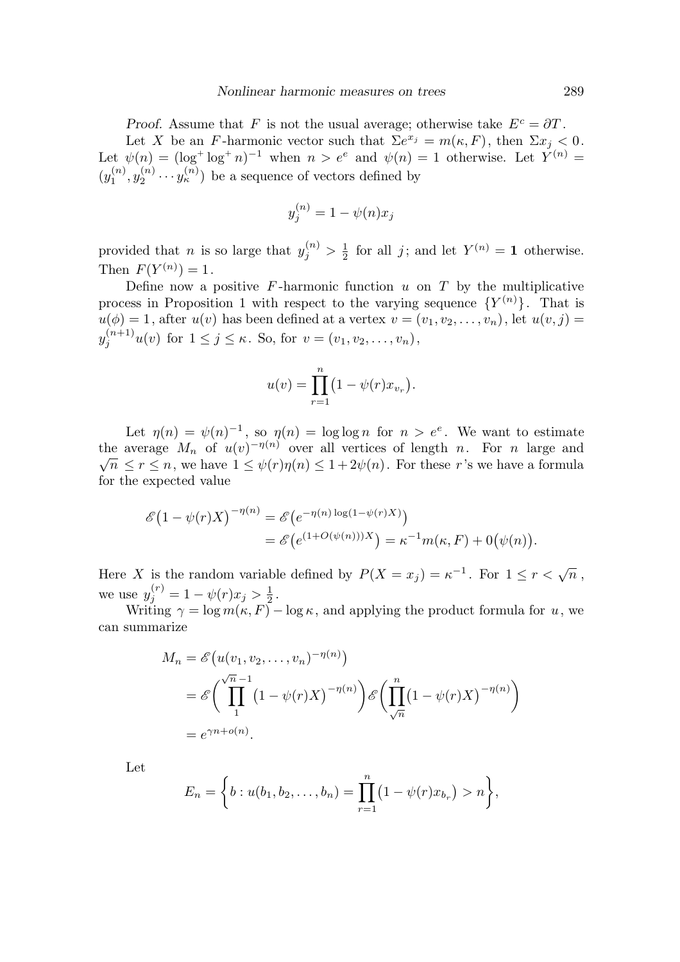Proof. Assume that F is not the usual average; otherwise take  $E^c = \partial T$ . Let X be an F-harmonic vector such that  $\Sigma e^{x_j} = m(\kappa, F)$ , then  $\Sigma x_j < 0$ . Let  $\psi(n) = (\log^+ \log^+ n)^{-1}$  when  $n > e^e$  and  $\psi(n) = 1$  otherwise. Let  $Y^{(n)} =$  $(y_1^{(n)}$  $\mathfrak{j}_{1}^{(n)},\mathfrak{y}_{2}^{(n)}$  $\mathbf{y}_2^{(n)} \cdots \mathbf{y}_k^{(n)}$  be a sequence of vectors defined by

$$
y_j^{(n)} = 1 - \psi(n)x_j
$$

provided that *n* is so large that  $y_j^{(n)} > \frac{1}{2}$  $\frac{1}{2}$  for all j; and let  $Y^{(n)} = 1$  otherwise. Then  $F(Y^{(n)}) = 1$ .

Define now a positive  $F$ -harmonic function  $u$  on  $T$  by the multiplicative process in Proposition 1 with respect to the varying sequence  $\{Y^{(n)}\}$ . That is  $u(\phi) = 1$ , after  $u(v)$  has been defined at a vertex  $v = (v_1, v_2, \dots, v_n)$ , let  $u(v, j) =$  $y_j^{(n+1)}u(v)$  for  $1 \le j \le \kappa$ . So, for  $v = (v_1, v_2, \dots, v_n)$ ,

$$
u(v) = \prod_{r=1}^{n} (1 - \psi(r)x_{v_r}).
$$

Let  $\eta(n) = \psi(n)^{-1}$ , so  $\eta(n) = \log \log n$  for  $n > e^e$ . We want to estimate the average  $M_n$  of  $u(v)^{-\eta(n)}$  over all vertices of length n. For n large and  $\sqrt{n} \leq r \leq n$ , we have  $1 \leq \psi(r)\eta(n) \leq 1+2\psi(n)$ . For these r's we have a formula for the expected value

$$
\mathcal{E}(1 - \psi(r)X)^{-\eta(n)} = \mathcal{E}(e^{-\eta(n)\log(1 - \psi(r)X)})
$$
  
= 
$$
\mathcal{E}(e^{(1 + O(\psi(n)))X}) = \kappa^{-1}m(\kappa, F) + O(\psi(n)).
$$

Here X is the random variable defined by  $P(X = x_j) = \kappa^{-1}$ . For  $1 \le r < \sqrt{n}$ , we use  $y_j^{(r)} = 1 - \psi(r)x_j > \frac{1}{2}$  $\frac{1}{2}$ .

Writing  $\gamma = \log m(\kappa, F) - \log \kappa$ , and applying the product formula for  $u$ , we can summarize

$$
M_n = \mathscr{E}\big(u(v_1, v_2, \dots, v_n)^{-\eta(n)}\big)
$$
  
=  $\mathscr{E}\bigg(\prod_1^{\sqrt{n}-1} (1 - \psi(r)X)^{-\eta(n)}\bigg)\mathscr{E}\bigg(\prod_{\sqrt{n}}^n (1 - \psi(r)X)^{-\eta(n)}\bigg)$   
=  $e^{\gamma n + o(n)}$ .

Let

$$
E_n = \left\{ b : u(b_1, b_2, \dots, b_n) = \prod_{r=1}^n (1 - \psi(r)x_{b_r}) > n \right\},\,
$$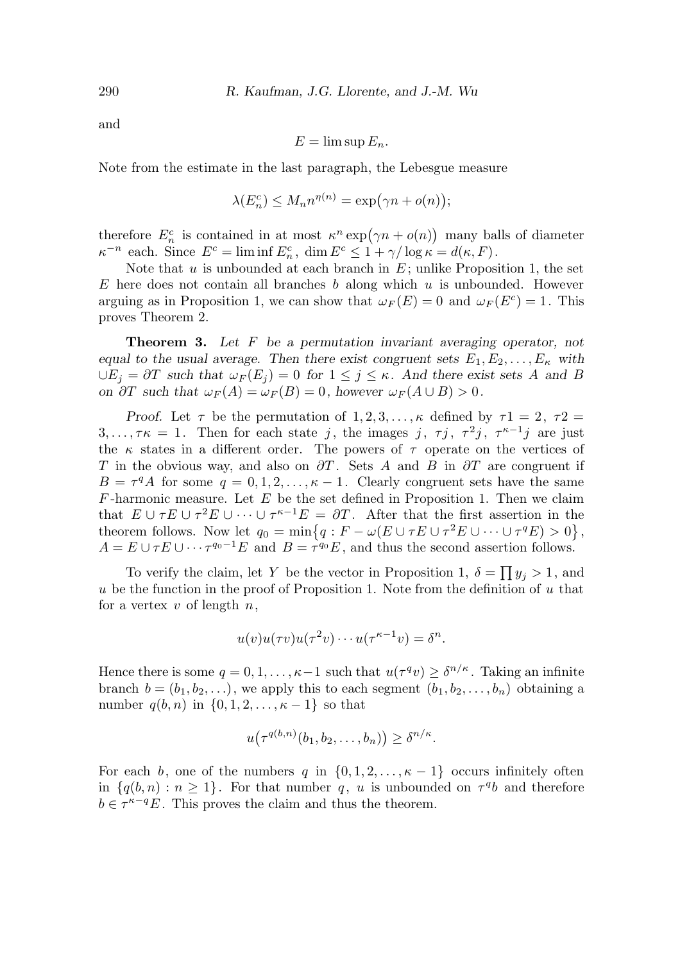and

$$
E = \limsup E_n.
$$

Note from the estimate in the last paragraph, the Lebesgue measure

$$
\lambda(E_n^c) \le M_n n^{\eta(n)} = \exp(\gamma n + o(n));
$$

therefore  $E_n^c$  is contained in at most  $\kappa^n \exp(\gamma n + o(n))$  many balls of diameter  $\kappa^{-n}$  each. Since  $E^c = \liminf E_n^c$ ,  $\dim E^c \leq 1 + \gamma/\log \kappa = d(\kappa, F)$ .

Note that  $u$  is unbounded at each branch in  $E$ ; unlike Proposition 1, the set E here does not contain all branches b along which u is unbounded. However arguing as in Proposition 1, we can show that  $\omega_F(E) = 0$  and  $\omega_F(E^c) = 1$ . This proves Theorem 2.

Theorem 3. Let F be a permutation invariant averaging operator, not equal to the usual average. Then there exist congruent sets  $E_1, E_2, \ldots, E_{\kappa}$  with  $\bigcup E_j = \partial T$  such that  $\omega_F(E_j) = 0$  for  $1 \leq j \leq \kappa$ . And there exist sets A and B on  $\partial T$  such that  $\omega_F(A) = \omega_F(B) = 0$ , however  $\omega_F(A \cup B) > 0$ .

Proof. Let  $\tau$  be the permutation of  $1, 2, 3, \ldots, \kappa$  defined by  $\tau_1 = 2, \tau_2 =$  $3, \ldots, \tau \kappa = 1$ . Then for each state j, the images j,  $\tau j$ ,  $\tau^2 j$ ,  $\tau^{\kappa-1} j$  are just the  $\kappa$  states in a different order. The powers of  $\tau$  operate on the vertices of T in the obvious way, and also on  $\partial T$ . Sets A and B in  $\partial T$  are congruent if  $B = \tau^q A$  for some  $q = 0, 1, 2, \ldots, \kappa - 1$ . Clearly congruent sets have the same  $F$ -harmonic measure. Let  $E$  be the set defined in Proposition 1. Then we claim that  $E \cup \tau E \cup \tau^2 E \cup \cdots \cup \tau^{\kappa-1} E = \partial T$ . After that the first assertion in the theorem follows. Now let  $q_0 = \min\{q : F - \omega(E \cup \tau E \cup \tau^2 E \cup \cdots \cup \tau^q E) > 0\},\$  $A = E \cup \tau E \cup \cdots \tau^{q_0-1} E$  and  $B = \tau^{q_0} E$ , and thus the second assertion follows.

To verify the claim, let Y be the vector in Proposition 1,  $\delta = \prod y_j > 1$ , and u be the function in the proof of Proposition 1. Note from the definition of u that for a vertex  $v$  of length  $n$ ,

$$
u(v)u(\tau v)u(\tau^2 v)\cdots u(\tau^{\kappa-1}v)=\delta^n.
$$

Hence there is some  $q = 0, 1, \ldots, \kappa - 1$  such that  $u(\tau^q v) \geq \delta^{n/\kappa}$ . Taking an infinite branch  $b = (b_1, b_2, \ldots)$ , we apply this to each segment  $(b_1, b_2, \ldots, b_n)$  obtaining a number  $q(b, n)$  in  $\{0, 1, 2, ..., \kappa - 1\}$  so that

$$
u(\tau^{q(b,n)}(b_1, b_2, \ldots, b_n)) \geq \delta^{n/\kappa}.
$$

For each b, one of the numbers q in  $\{0, 1, 2, \ldots, \kappa - 1\}$  occurs infinitely often in  $\{q(b,n): n \geq 1\}$ . For that number q, u is unbounded on  $\tau^q b$  and therefore  $b \in \tau^{\kappa-q}E$ . This proves the claim and thus the theorem.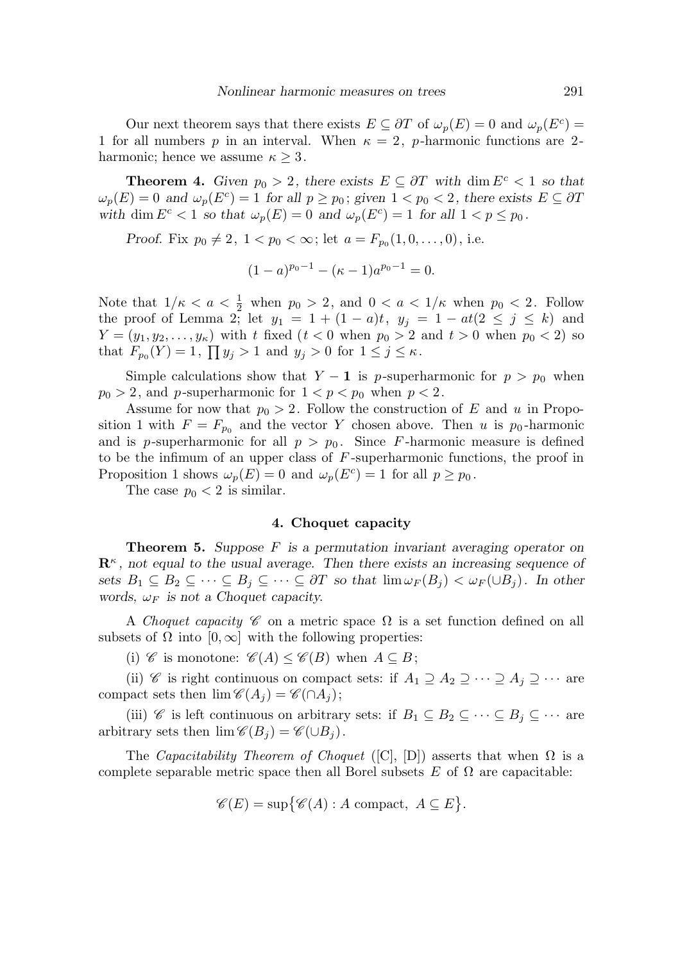Our next theorem says that there exists  $E \subseteq \partial T$  of  $\omega_p(E) = 0$  and  $\omega_p(E^c) =$ 1 for all numbers p in an interval. When  $\kappa = 2$ , p-harmonic functions are 2harmonic; hence we assume  $\kappa \geq 3$ .

**Theorem 4.** Given  $p_0 > 2$ , there exists  $E \subseteq \partial T$  with dim  $E^c < 1$  so that  $\omega_p(E) = 0$  and  $\omega_p(E^c) = 1$  for all  $p \ge p_0$ ; given  $1 < p_0 < 2$ , there exists  $E \subseteq \partial T$ with dim  $E^c < 1$  so that  $\omega_p(E) = 0$  and  $\omega_p(E^c) = 1$  for all  $1 < p \le p_0$ .

*Proof.* Fix  $p_0 \neq 2$ ,  $1 < p_0 < \infty$ ; let  $a = F_{p_0}(1, 0, \ldots, 0)$ , i.e.

$$
(1-a)^{p_0-1} - (\kappa - 1)a^{p_0-1} = 0.
$$

Note that  $1/\kappa < a < \frac{1}{2}$  when  $p_0 > 2$ , and  $0 < a < 1/\kappa$  when  $p_0 < 2$ . Follow the proof of Lemma 2; let  $y_1 = 1 + (1 - a)t$ ,  $y_j = 1 - at(2 \le j \le k)$  and  $Y = (y_1, y_2, \ldots, y_\kappa)$  with t fixed  $(t < 0$  when  $p_0 > 2$  and  $t > 0$  when  $p_0 < 2$ ) so that  $F_{p_0}(Y) = 1$ ,  $\prod y_j > 1$  and  $y_j > 0$  for  $1 \le j \le \kappa$ .

Simple calculations show that  $Y - 1$  is p-superharmonic for  $p > p_0$  when  $p_0 > 2$ , and p-superharmonic for  $1 < p < p_0$  when  $p < 2$ .

Assume for now that  $p_0 > 2$ . Follow the construction of E and u in Proposition 1 with  $F = F_{p_0}$  and the vector Y chosen above. Then u is  $p_0$ -harmonic and is p-superharmonic for all  $p > p_0$ . Since F-harmonic measure is defined to be the infimum of an upper class of  $F$ -superharmonic functions, the proof in Proposition 1 shows  $\omega_p(E) = 0$  and  $\omega_p(E^c) = 1$  for all  $p \ge p_0$ .

The case  $p_0 < 2$  is similar.

# 4. Choquet capacity

**Theorem 5.** Suppose  $F$  is a permutation invariant averaging operator on  $\mathbf{R}^{\kappa}$ , not equal to the usual average. Then there exists an increasing sequence of sets  $B_1 \subseteq B_2 \subseteq \cdots \subseteq B_j \subseteq \cdots \subseteq \partial T$  so that  $\lim \omega_F(B_i) < \omega_F(\cup B_i)$ . In other words,  $\omega_F$  is not a Choquet capacity.

A Choquet capacity  $\mathscr C$  on a metric space  $\Omega$  is a set function defined on all subsets of  $\Omega$  into  $[0,\infty]$  with the following properties:

(i) C is monotone:  $\mathscr{C}(A) \leq \mathscr{C}(B)$  when  $A \subseteq B$ ;

(ii) C is right continuous on compact sets: if  $A_1 \supseteq A_2 \supseteq \cdots \supseteq A_j \supseteq \cdots$  are compact sets then  $\lim \mathscr{C}(A_i) = \mathscr{C}(\bigcap A_i);$ 

(iii) C is left continuous on arbitrary sets: if  $B_1 \subseteq B_2 \subseteq \cdots \subseteq B_j \subseteq \cdots$  are arbitrary sets then  $\lim \mathscr{C}(B_i) = \mathscr{C}(\cup B_i)$ .

The Capacitability Theorem of Choquet ([C], [D]) asserts that when  $\Omega$  is a complete separable metric space then all Borel subsets E of  $\Omega$  are capacitable:

$$
\mathscr{C}(E) = \sup \{ \mathscr{C}(A) : A \text{ compact}, A \subseteq E \}.
$$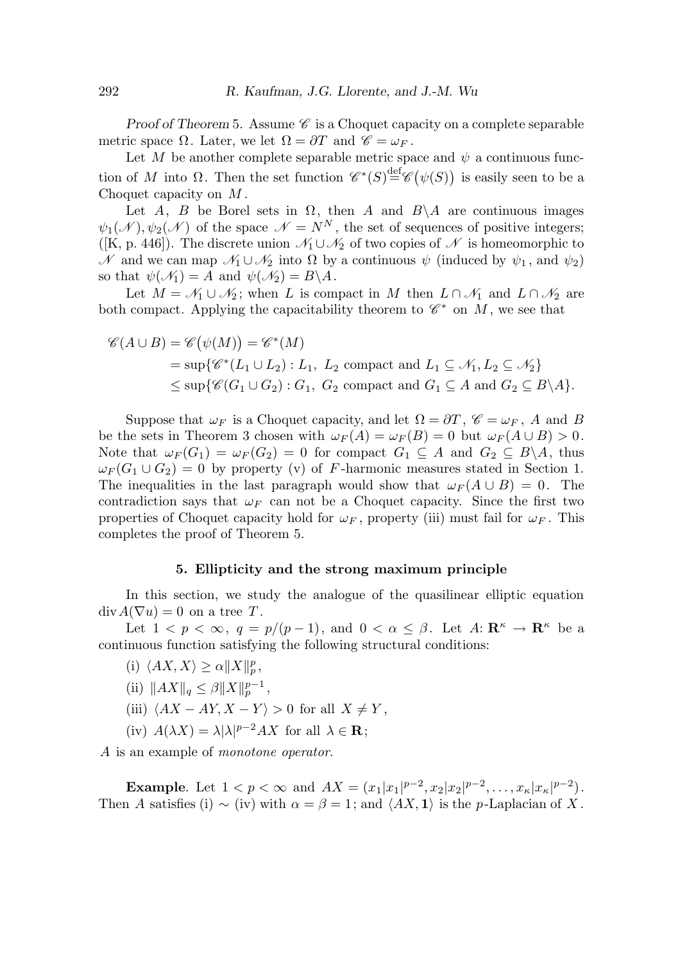Proof of Theorem 5. Assume  $\mathscr C$  is a Choquet capacity on a complete separable metric space  $\Omega$ . Later, we let  $\Omega = \partial T$  and  $\mathscr{C} = \omega_F$ .

Let M be another complete separable metric space and  $\psi$  a continuous function of M into  $\Omega$ . Then the set function  $\mathscr{C}^*(S) \stackrel{\text{def}}{=} \mathscr{C}(\psi(S))$  is easily seen to be a Choquet capacity on M .

Let A, B be Borel sets in  $\Omega$ , then A and  $B \setminus A$  are continuous images  $\psi_1(\mathcal{N}), \psi_2(\mathcal{N})$  of the space  $\mathcal{N} = N^N$ , the set of sequences of positive integers; ([K, p. 446]). The discrete union  $\mathcal{N}_1 \cup \mathcal{N}_2$  of two copies of  $\mathcal N$  is homeomorphic to N and we can map  $\mathcal{N}_1 \cup \mathcal{N}_2$  into  $\Omega$  by a continuous  $\psi$  (induced by  $\psi_1$ , and  $\psi_2$ ) so that  $\psi(\mathcal{N}_1) = A$  and  $\psi(\mathcal{N}_2) = B \backslash A$ .

Let  $M = \mathcal{N}_1 \cup \mathcal{N}_2$ ; when L is compact in M then  $L \cap \mathcal{N}_1$  and  $L \cap \mathcal{N}_2$  are both compact. Applying the capacitability theorem to  $\mathscr{C}^*$  on M, we see that

$$
\mathscr{C}(A \cup B) = \mathscr{C}(\psi(M)) = \mathscr{C}^*(M)
$$
  
= sup{ $\mathscr{C}^*(L_1 \cup L_2) : L_1, L_2$  compact and  $L_1 \subseteq \mathcal{N}_1, L_2 \subseteq \mathcal{N}_2$ }  
 $\leq$  sup{ $\mathscr{C}(G_1 \cup G_2) : G_1, G_2$  compact and  $G_1 \subseteq A$  and  $G_2 \subseteq B \setminus A$  }.

Suppose that  $\omega_F$  is a Choquet capacity, and let  $\Omega = \partial T$ ,  $\mathscr{C} = \omega_F$ , A and B be the sets in Theorem 3 chosen with  $\omega_F(A) = \omega_F(B) = 0$  but  $\omega_F(A \cup B) > 0$ . Note that  $\omega_F(G_1) = \omega_F(G_2) = 0$  for compact  $G_1 \subseteq A$  and  $G_2 \subseteq B \backslash A$ , thus  $\omega_F(G_1 \cup G_2) = 0$  by property (v) of F-harmonic measures stated in Section 1. The inequalities in the last paragraph would show that  $\omega_F(A \cup B) = 0$ . The contradiction says that  $\omega_F$  can not be a Choquet capacity. Since the first two properties of Choquet capacity hold for  $\omega_F$ , property (iii) must fail for  $\omega_F$ . This completes the proof of Theorem 5.

# 5. Ellipticity and the strong maximum principle

In this section, we study the analogue of the quasilinear elliptic equation  $div A(\nabla u) = 0$  on a tree T.

Let  $1 < p < \infty$ ,  $q = p/(p-1)$ , and  $0 < \alpha \leq \beta$ . Let  $A: \mathbb{R}^{\kappa} \to \mathbb{R}^{\kappa}$  be a continuous function satisfying the following structural conditions:

- (i)  $\langle AX, X \rangle \ge \alpha ||X||_p^p,$
- (ii)  $\|AX\|_q \leq \beta \|X\|_p^{p-1},$
- (iii)  $\langle AX AY, X Y \rangle > 0$  for all  $X \neq Y$ ,
- (iv)  $A(\lambda X) = \lambda |\lambda|^{p-2} A X$  for all  $\lambda \in \mathbf{R}$ ;

A is an example of *monotone operator*.

Example. Let  $1 < p < \infty$  and  $AX = (x_1|x_1|^{p-2}, x_2|x_2|^{p-2}, \ldots, x_{\kappa}|x_{\kappa}|^{p-2}).$ Then A satisfies (i) ~ (iv) with  $\alpha = \beta = 1$ ; and  $\langle AX, 1 \rangle$  is the p-Laplacian of X.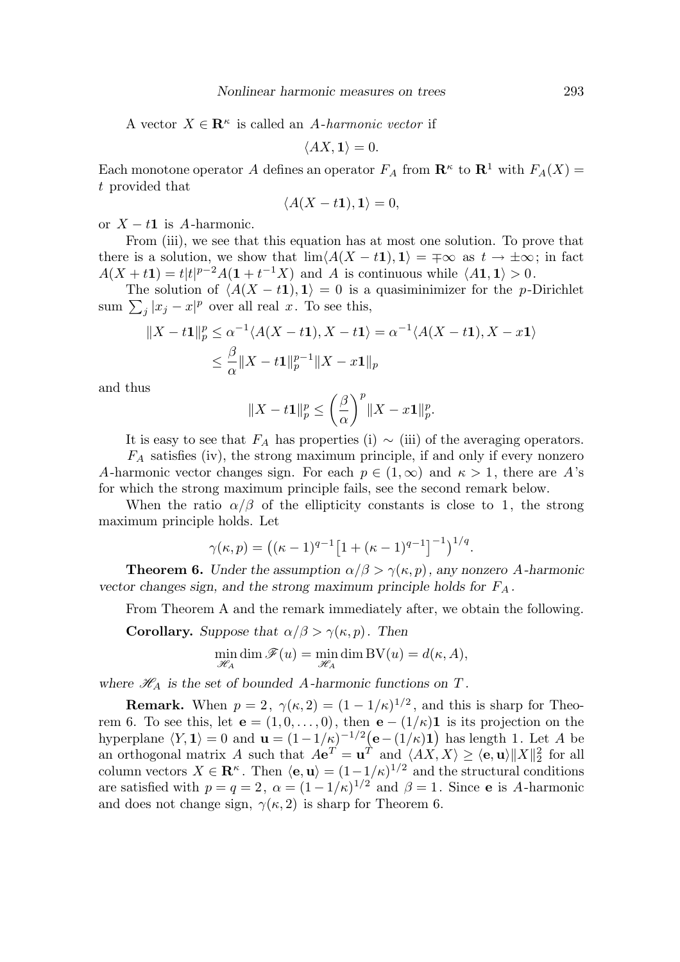A vector  $X \in \mathbb{R}^{\kappa}$  is called an A-harmonic vector if

$$
\langle AX,\mathbf{1}\rangle=0.
$$

Each monotone operator A defines an operator  $F_A$  from  $\mathbb{R}^k$  to  $\mathbb{R}^1$  with  $F_A(X)$  = t provided that

$$
\langle A(X-t\mathbf{1}),\mathbf{1}\rangle=0,
$$

or  $X - t1$  is A-harmonic.

From (iii), we see that this equation has at most one solution. To prove that there is a solution, we show that  $\lim (A(X - t1), 1) = \pm \infty$  as  $t \to \pm \infty$ ; in fact  $A(X+t1) = t|t|^{p-2}A(1+t^{-1}X)$  and A is continuous while  $\langle A1, 1 \rangle > 0$ .

The solution of  $\langle A(X - t1), 1 \rangle = 0$  is a quasiminimizer for the p-Dirichlet sum  $\sum_j |x_j - x|^p$  over all real x. To see this,

$$
||X - t1||_p^p \le \alpha^{-1} \langle A(X - t1), X - t1 \rangle = \alpha^{-1} \langle A(X - t1), X - x1 \rangle
$$
  

$$
\le \frac{\beta}{\alpha} ||X - t1||_p^{p-1} ||X - x1||_p
$$

and thus

$$
||X-t1||_p^p \le \left(\frac{\beta}{\alpha}\right)^p ||X-x1||_p^p.
$$

It is easy to see that  $F_A$  has properties (i)  $\sim$  (iii) of the averaging operators.

 $F_A$  satisfies (iv), the strong maximum principle, if and only if every nonzero A-harmonic vector changes sign. For each  $p \in (1,\infty)$  and  $\kappa > 1$ , there are A's for which the strong maximum principle fails, see the second remark below.

When the ratio  $\alpha/\beta$  of the ellipticity constants is close to 1, the strong maximum principle holds. Let

$$
\gamma(\kappa, p) = ((\kappa - 1)^{q-1} [1 + (\kappa - 1)^{q-1}]^{-1})^{1/q}.
$$

**Theorem 6.** Under the assumption  $\alpha/\beta > \gamma(\kappa, p)$ , any nonzero A-harmonic vector changes sign, and the strong maximum principle holds for  $F_A$ .

From Theorem A and the remark immediately after, we obtain the following.

**Corollary.** Suppose that  $\alpha/\beta > \gamma(\kappa, p)$ . Then

$$
\min_{\mathscr{H}_A} \dim \mathscr{F}(u) = \min_{\mathscr{H}_A} \dim BV(u) = d(\kappa, A),
$$

where  $\mathcal{H}_A$  is the set of bounded A-harmonic functions on T.

**Remark.** When  $p = 2$ ,  $\gamma(\kappa, 2) = (1 - 1/\kappa)^{1/2}$ , and this is sharp for Theorem 6. To see this, let  $\mathbf{e} = (1, 0, \ldots, 0)$ , then  $\mathbf{e} - (1/\kappa)\mathbf{1}$  is its projection on the hyperplane  $\langle Y, 1 \rangle = 0$  and  $\mathbf{u} = (1 - 1/\kappa)^{-1/2} \left( \mathbf{e} - (1/\kappa) \mathbf{1} \right)$  has length 1. Let A be an orthogonal matrix A such that  $Ae^T = \mathbf{u}^T$  and  $\langle AX, X \rangle \ge \langle \mathbf{e}, \mathbf{u} \rangle ||X||_2^2$  for all column vectors  $X \in \mathbf{R}^{\kappa}$ . Then  $\langle \mathbf{e}, \mathbf{u} \rangle = (1-1/\kappa)^{1/2}$  and the structural conditions are satisfied with  $p = q = 2$ ,  $\alpha = (1 - 1/\kappa)^{1/2}$  and  $\beta = 1$ . Since **e** is A-harmonic and does not change sign,  $\gamma(\kappa, 2)$  is sharp for Theorem 6.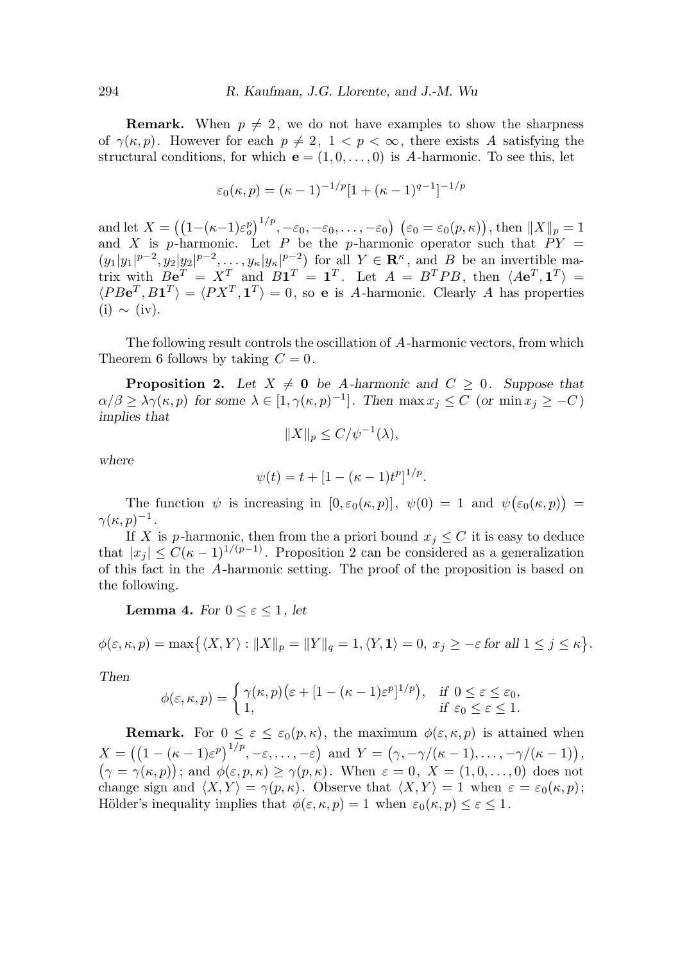**Remark.** When  $p \neq 2$ , we do not have examples to show the sharpness of  $\gamma(\kappa, p)$ . However for each  $p \neq 2$ ,  $1 < p < \infty$ , there exists A satisfying the structural conditions, for which  $e = (1, 0, \ldots, 0)$  is A-harmonic. To see this, let

$$
\varepsilon_0(\kappa, p) = (\kappa - 1)^{-1/p} [1 + (\kappa - 1)^{q-1}]^{-1/p}
$$

and let  $X = ((1 - (\kappa - 1)\varepsilon_o^p)^{1/p}, -\varepsilon_0, -\varepsilon_0, \dots, -\varepsilon_0) \ (\varepsilon_0 = \varepsilon_0(p, \kappa))$ , then  $||X||_p = 1$ and X is p-harmonic. Let P be the p-harmonic operator such that  $PY =$  $(y_1|y_1|^{p-2}, y_2|y_2|^{p-2}, \ldots, y_\kappa|y_\kappa|^{p-2})$  for all  $Y \in \mathbf{R}^\kappa$ , and B be an invertible matrix with  $Be^T = X^T$  and  $B1^T = 1^T$ . Let  $A = B^TPB$ , then  $\langle Ae^T, 1^T \rangle =$  $\langle PBe^T, B1^T \rangle = \langle PX^T, 1^T \rangle = 0$ , so e is A-harmonic. Clearly A has properties  $(i) \sim (iv).$ 

The following result controls the oscillation of A-harmonic vectors, from which Theorem 6 follows by taking  $C = 0$ .

**Proposition 2.** Let  $X \neq \mathbf{0}$  be A-harmonic and  $C \geq 0$ . Suppose that  $\alpha/\beta \geq \lambda \gamma(\kappa, p)$  for some  $\lambda \in [1, \gamma(\kappa, p)^{-1}]$ . Then  $\max x_j \leq C$  (or  $\min x_j \geq -C$ ) implies that

$$
||X||_p \le C/\psi^{-1}(\lambda),
$$

where

$$
\psi(t) = t + [1 - (\kappa - 1)t^p]^{1/p}.
$$

The function  $\psi$  is increasing in  $[0, \varepsilon_0(\kappa, p)]$ ,  $\psi(0) = 1$  and  $\psi(\varepsilon_0(\kappa, p)) =$  $\gamma(\kappa,p)^{-1}$  .

If X is p-harmonic, then from the a priori bound  $x_j \leq C$  it is easy to deduce that  $|x_j| \leq C(\kappa-1)^{1/(p-1)}$ . Proposition 2 can be considered as a generalization of this fact in the A-harmonic setting. The proof of the proposition is based on the following.

**Lemma 4.** For  $0 \leq \varepsilon \leq 1$ , let

$$
\phi(\varepsilon,\kappa,p)=\max\bigl\{\langle X,Y\rangle:\|X\|_p=\|Y\|_q=1,\langle Y,\mathbf{1}\rangle=0,\ x_j\geq-\varepsilon\text{ for all }1\leq j\leq\kappa\bigr\}.
$$

Then

$$
\phi(\varepsilon,\kappa,p) = \begin{cases} \gamma(\kappa,p) \big( \varepsilon + [1 - (\kappa - 1)\varepsilon^p]^{1/p} \big), & \text{if } 0 \le \varepsilon \le \varepsilon_0, \\ 1, & \text{if } \varepsilon_0 \le \varepsilon \le 1. \end{cases}
$$

**Remark.** For  $0 \leq \varepsilon \leq \varepsilon_0(p,\kappa)$ , the maximum  $\phi(\varepsilon,\kappa,p)$  is attained when  $X = ((1 - (\kappa - 1)\varepsilon^p)^{1/p}, -\varepsilon, \ldots, -\varepsilon) \text{ and } Y = (\gamma, -\gamma/(\kappa - 1), \ldots, -\gamma/(\kappa - 1)),$  $(\gamma = \gamma(\kappa, p));$  and  $\phi(\varepsilon, p, \kappa) \geq \gamma(p, \kappa)$ . When  $\varepsilon = 0, X = (1, 0, \ldots, 0)$  does not change sign and  $\langle X, Y \rangle = \gamma(p, \kappa)$ . Observe that  $\langle X, Y \rangle = 1$  when  $\varepsilon = \varepsilon_0(\kappa, p)$ ; Hölder's inequality implies that  $\phi(\varepsilon, \kappa, p) = 1$  when  $\varepsilon_0(\kappa, p) \leq \varepsilon < 1$ .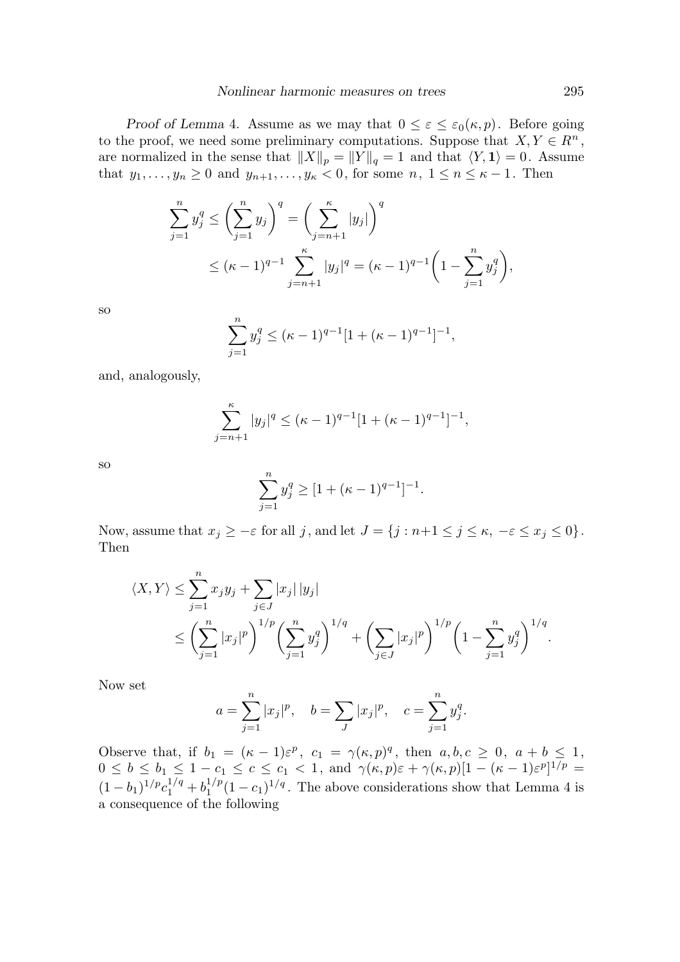Proof of Lemma 4. Assume as we may that  $0 \leq \varepsilon \leq \varepsilon_0(\kappa, p)$ . Before going to the proof, we need some preliminary computations. Suppose that  $X, Y \in \mathbb{R}^n$ , are normalized in the sense that  $||X||_p = ||Y||_q = 1$  and that  $\langle Y, \mathbf{1} \rangle = 0$ . Assume that  $y_1, \ldots, y_n \geq 0$  and  $y_{n+1}, \ldots, y_{\kappa} < 0$ , for some  $n, 1 \leq n \leq \kappa - 1$ . Then

$$
\sum_{j=1}^{n} y_j^q \le \left(\sum_{j=1}^{n} y_j\right)^q = \left(\sum_{j=n+1}^{\kappa} |y_j|\right)^q
$$
  
 
$$
\le (\kappa - 1)^{q-1} \sum_{j=n+1}^{\kappa} |y_j|^q = (\kappa - 1)^{q-1} \left(1 - \sum_{j=1}^{n} y_j^q\right),
$$

so

$$
\sum_{j=1}^{n} y_j^q \leq (\kappa - 1)^{q-1} [1 + (\kappa - 1)^{q-1}]^{-1},
$$

and, analogously,

$$
\sum_{j=n+1}^{\kappa} |y_j|^q \leq (\kappa - 1)^{q-1} [1 + (\kappa - 1)^{q-1}]^{-1},
$$

so

$$
\sum_{j=1}^{n} y_j^q \ge [1 + (\kappa - 1)^{q-1}]^{-1}.
$$

Now, assume that  $x_j \geq -\varepsilon$  for all j, and let  $J = \{j : n+1 \leq j \leq \kappa, -\varepsilon \leq x_j \leq 0\}$ . Then

$$
\langle X, Y \rangle \leq \sum_{j=1}^{n} x_j y_j + \sum_{j \in J} |x_j| |y_j|
$$
  
 
$$
\leq \left( \sum_{j=1}^{n} |x_j|^p \right)^{1/p} \left( \sum_{j=1}^{n} y_j^q \right)^{1/q} + \left( \sum_{j \in J} |x_j|^p \right)^{1/p} \left( 1 - \sum_{j=1}^{n} y_j^q \right)^{1/q}.
$$

Now set

$$
a = \sum_{j=1}^{n} |x_j|^p
$$
,  $b = \sum_{J} |x_j|^p$ ,  $c = \sum_{j=1}^{n} y_j^q$ .

Observe that, if  $b_1 = (\kappa - 1)\varepsilon^p$ ,  $c_1 = \gamma(\kappa, p)^q$ , then  $a, b, c \geq 0$ ,  $a + b \leq 1$ ,  $0 \leq b \leq b_1 \leq 1-c_1 \leq c \leq c_1 < 1$ , and  $\gamma(\kappa, p)\varepsilon + \gamma(\kappa, p)[1-(\kappa-1)\varepsilon^p]^{1/p} =$  $(1-b_1)^{1/p}c_1^{1/q}+b_1^{1/p}$  $\frac{1}{2}$  (1 – c<sub>1</sub>)<sup>1/q</sup>. The above considerations show that Lemma 4 is a consequence of the following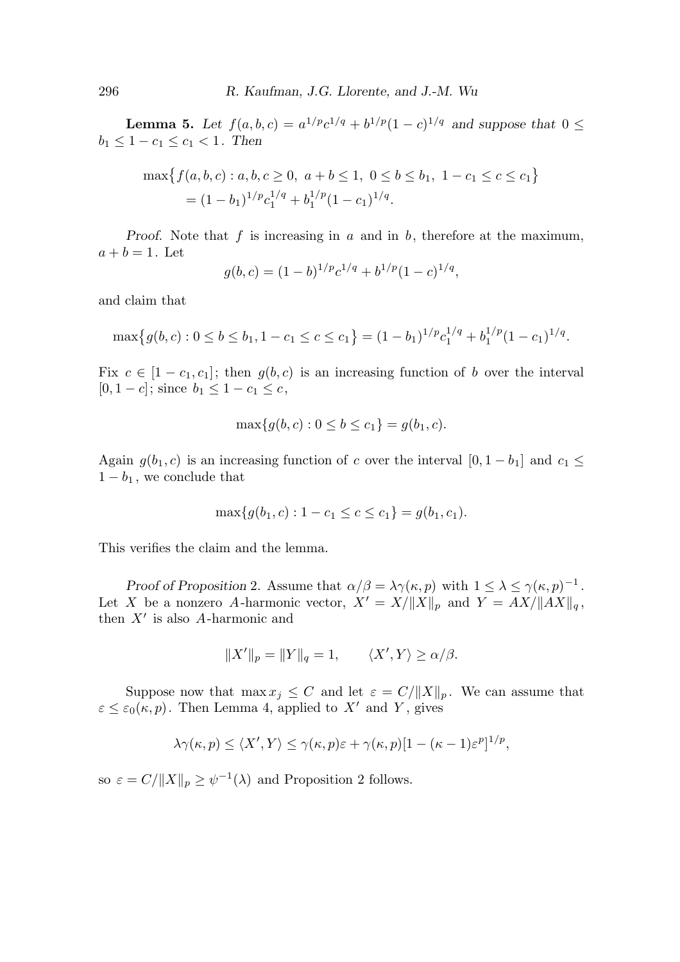**Lemma 5.** Let  $f(a, b, c) = a^{1/p}c^{1/q} + b^{1/p}(1-c)^{1/q}$  and suppose that  $0 \leq$  $b_1 \leq 1 - c_1 \leq c_1 < 1$ . Then

$$
\max \{ f(a, b, c) : a, b, c \ge 0, \ a + b \le 1, \ 0 \le b \le b_1, \ 1 - c_1 \le c \le c_1 \}
$$
  
=  $(1 - b_1)^{1/p} c_1^{1/q} + b_1^{1/p} (1 - c_1)^{1/q}.$ 

Proof. Note that f is increasing in a and in b, therefore at the maximum,  $a + b = 1$ . Let

$$
g(b,c) = (1-b)^{1/p}c^{1/q} + b^{1/p}(1-c)^{1/q},
$$

and claim that

$$
\max\big\{g(b,c): 0 \le b \le b_1, 1-c_1 \le c \le c_1\big\} = (1-b_1)^{1/p}c_1^{1/q} + b_1^{1/p}(1-c_1)^{1/q}.
$$

Fix  $c \in [1 - c_1, c_1]$ ; then  $g(b, c)$  is an increasing function of b over the interval  $[0, 1 - c]$ ; since  $b_1 \leq 1 - c_1 \leq c$ ,

$$
\max\{g(b,c): 0 \le b \le c_1\} = g(b_1, c).
$$

Again  $g(b_1, c)$  is an increasing function of c over the interval  $[0, 1 - b_1]$  and  $c_1 \leq$  $1 - b_1$ , we conclude that

$$
\max\{g(b_1,c): 1-c_1 \le c \le c_1\} = g(b_1,c_1).
$$

This verifies the claim and the lemma.

Proof of Proposition 2. Assume that  $\alpha/\beta = \lambda \gamma(\kappa, p)$  with  $1 \leq \lambda \leq \gamma(\kappa, p)^{-1}$ . Let X be a nonzero A-harmonic vector,  $X' = X/||X||_p$  and  $Y = AX/||AX||_q$ , then  $X'$  is also A-harmonic and

$$
||X'||_p = ||Y||_q = 1, \qquad \langle X', Y \rangle \ge \alpha/\beta.
$$

Suppose now that  $\max x_j \leq C$  and let  $\varepsilon = C / ||X||_p$ . We can assume that  $\varepsilon \leq \varepsilon_0(\kappa, p)$ . Then Lemma 4, applied to X' and Y, gives

$$
\lambda \gamma(\kappa, p) \leq \langle X', Y \rangle \leq \gamma(\kappa, p)\varepsilon + \gamma(\kappa, p)[1 - (\kappa - 1)\varepsilon^p]^{1/p},
$$

so  $\varepsilon = C / ||X||_p \ge \psi^{-1}(\lambda)$  and Proposition 2 follows.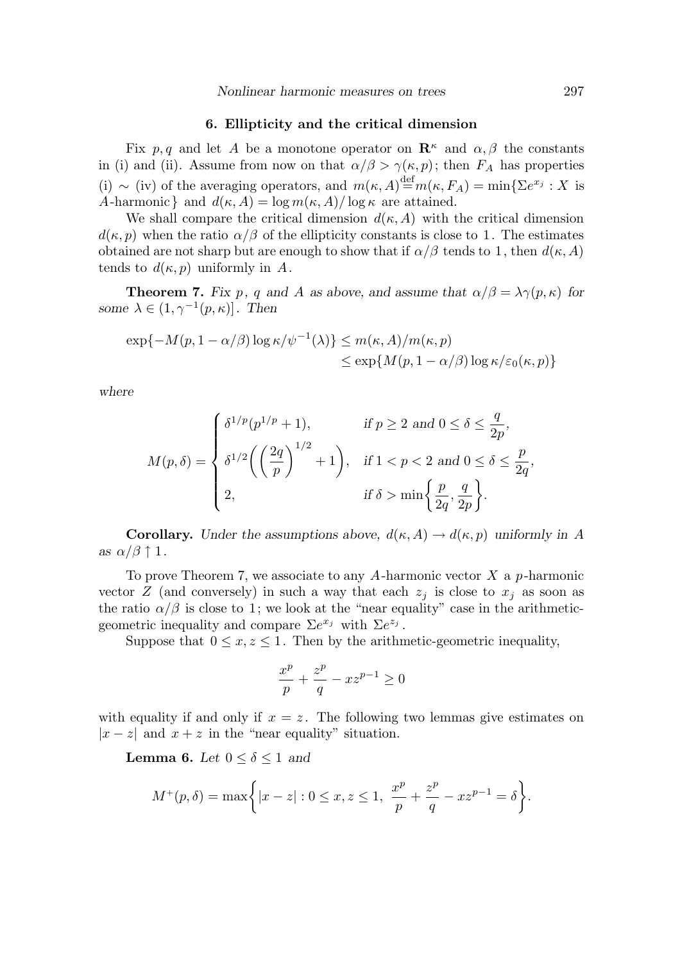## 6. Ellipticity and the critical dimension

Fix p, q and let A be a monotone operator on  $\mathbb{R}^k$  and  $\alpha, \beta$  the constants in (i) and (ii). Assume from now on that  $\alpha/\beta > \gamma(\kappa, p)$ ; then  $F_A$  has properties (i) ~ (iv) of the averaging operators, and  $m(\kappa, A) \stackrel{\text{def}}{=} m(\kappa, F_A) = \min\{\Sigma e^{x_j} : X \text{ is }$ A-harmonic and  $d(\kappa, A) = \log m(\kappa, A)/\log \kappa$  are attained.

We shall compare the critical dimension  $d(\kappa, A)$  with the critical dimension  $d(\kappa, p)$  when the ratio  $\alpha/\beta$  of the ellipticity constants is close to 1. The estimates obtained are not sharp but are enough to show that if  $\alpha/\beta$  tends to 1, then  $d(\kappa, A)$ tends to  $d(\kappa, p)$  uniformly in A.

**Theorem 7.** Fix p, q and A as above, and assume that  $\alpha/\beta = \lambda \gamma(p, \kappa)$  for some  $\lambda \in (1, \gamma^{-1}(p, \kappa))$ . Then

$$
\exp\{-M(p, 1 - \alpha/\beta) \log \kappa/\psi^{-1}(\lambda)\} \le m(\kappa, A)/m(\kappa, p)
$$
  

$$
\le \exp\{M(p, 1 - \alpha/\beta) \log \kappa/\varepsilon_0(\kappa, p)\}
$$

where

$$
M(p,\delta) = \begin{cases} \delta^{1/p}(p^{1/p}+1), & \text{if } p \ge 2 \text{ and } 0 \le \delta \le \frac{q}{2p}, \\ \delta^{1/2}\left(\left(\frac{2q}{p}\right)^{1/2}+1\right), & \text{if } 1 < p < 2 \text{ and } 0 \le \delta \le \frac{p}{2q}, \\ 2, & \text{if } \delta > \min\left\{\frac{p}{2q}, \frac{q}{2p}\right\}. \end{cases}
$$

**Corollary.** Under the assumptions above,  $d(\kappa, A) \to d(\kappa, p)$  uniformly in A as  $\alpha/\beta \uparrow 1$ .

To prove Theorem 7, we associate to any A-harmonic vector  $X$  a p-harmonic vector  $Z$  (and conversely) in such a way that each  $z_j$  is close to  $x_j$  as soon as the ratio  $\alpha/\beta$  is close to 1; we look at the "near equality" case in the arithmeticgeometric inequality and compare  $\Sigma e^{x_j}$  with  $\Sigma e^{z_j}$ .

Suppose that  $0 \leq x, z \leq 1$ . Then by the arithmetic-geometric inequality,

$$
\frac{x^p}{p} + \frac{z^p}{q} - x z^{p-1} \ge 0
$$

with equality if and only if  $x = z$ . The following two lemmas give estimates on  $|x-z|$  and  $x+z$  in the "near equality" situation.

**Lemma 6.** Let  $0 \le \delta \le 1$  and

$$
M^+(p,\delta) = \max\bigg\{|x-z| : 0 \le x, z \le 1, \ \frac{x^p}{p} + \frac{z^p}{q} - x z^{p-1} = \delta\bigg\}.
$$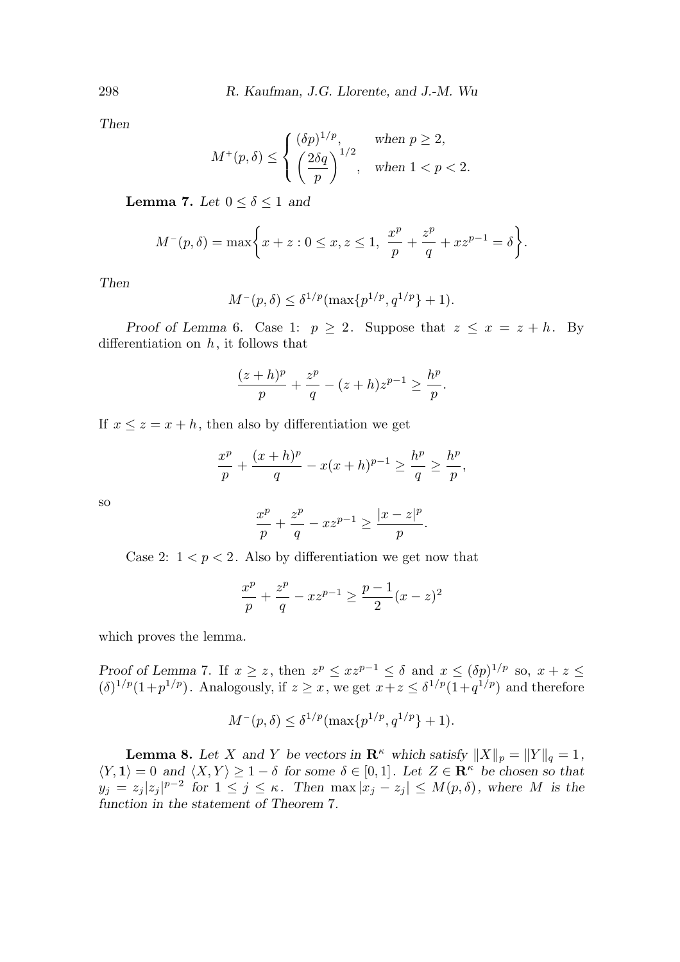Then

$$
M^+(p,\delta) \le \begin{cases} (\delta p)^{1/p}, & \text{when } p \ge 2, \\ \left(\frac{2\delta q}{p}\right)^{1/2}, & \text{when } 1 < p < 2. \end{cases}
$$

**Lemma 7.** Let  $0 \le \delta \le 1$  and

$$
M^{-}(p,\delta) = \max\bigg\{x+z: 0 \le x, z \le 1, \frac{x^p}{p} + \frac{z^p}{q} + xz^{p-1} = \delta\bigg\}.
$$

Then

$$
M^-(p,\delta) \le \delta^{1/p}(\max\{p^{1/p},q^{1/p}\}+1).
$$

Proof of Lemma 6. Case 1:  $p \geq 2$ . Suppose that  $z \leq x = z + h$ . By differentiation on  $h$ , it follows that

$$
\frac{(z+h)^p}{p} + \frac{z^p}{q} - (z+h)z^{p-1} \ge \frac{h^p}{p}.
$$

If  $x \leq z = x + h$ , then also by differentiation we get

$$
\frac{x^{p}}{p} + \frac{(x+h)^{p}}{q} - x(x+h)^{p-1} \ge \frac{h^{p}}{q} \ge \frac{h^{p}}{p},
$$

so

$$
\frac{x^p}{p} + \frac{z^p}{q} - x z^{p-1} \ge \frac{|x-z|^p}{p}.
$$

Case 2:  $1 < p < 2$ . Also by differentiation we get now that

$$
\frac{x^p}{p} + \frac{z^p}{q} - x z^{p-1} \ge \frac{p-1}{2} (x - z)^2
$$

which proves the lemma.

Proof of Lemma 7. If  $x \geq z$ , then  $z^p \leq xz^{p-1} \leq \delta$  and  $x \leq (\delta p)^{1/p}$  so,  $x + z \leq z$  $(\delta)^{1/p}(1+p^{1/p})$ . Analogously, if  $z \geq x$ , we get  $x+z \leq \delta^{1/p}(1+q^{1/p})$  and therefore

$$
M^-(p,\delta) \le \delta^{1/p}(\max\{p^{1/p},q^{1/p}\}+1).
$$

**Lemma 8.** Let X and Y be vectors in  $\mathbb{R}^k$  which satisfy  $||X||_p = ||Y||_q = 1$ ,  $\langle Y, 1 \rangle = 0$  and  $\langle X, Y \rangle \ge 1 - \delta$  for some  $\delta \in [0, 1]$ . Let  $Z \in \mathbf{R}^{\kappa}$  be chosen so that  $y_j = z_j |z_j|^{p-2}$  for  $1 \leq j \leq \kappa$ . Then  $\max |x_j - z_j| \leq M(p,\delta)$ , where M is the function in the statement of Theorem 7.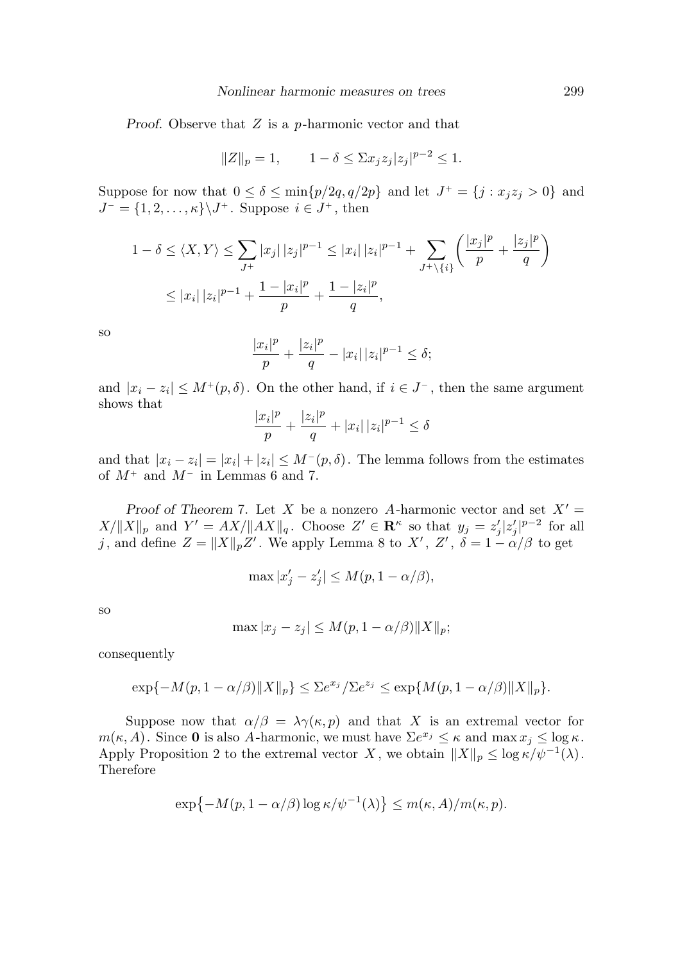Proof. Observe that  $Z$  is a p-harmonic vector and that

$$
||Z||_p = 1,
$$
  $1 - \delta \le \sum x_j z_j |z_j|^{p-2} \le 1.$ 

Suppose for now that  $0 \le \delta \le \min\{p/2q, q/2p\}$  and let  $J^+ = \{j : x_j z_j > 0\}$  and  $J^{-} = \{1, 2, \ldots, \kappa\} \backslash J^{+}$ . Suppose  $i \in J^{+}$ , then

$$
1 - \delta \le \langle X, Y \rangle \le \sum_{J^+} |x_j| |z_j|^{p-1} \le |x_i| |z_i|^{p-1} + \sum_{J^+ \setminus \{i\}} \left( \frac{|x_j|^p}{p} + \frac{|z_j|^p}{q} \right) \le |x_i| |z_i|^{p-1} + \frac{1 - |x_i|^p}{p} + \frac{1 - |z_i|^p}{q},
$$

so

$$
\frac{|x_i|^p}{p} + \frac{|z_i|^p}{q} - |x_i| \, |z_i|^{p-1} \le \delta;
$$

and  $|x_i - z_i| \leq M^+(p, \delta)$ . On the other hand, if  $i \in J^-$ , then the same argument shows that

$$
\frac{|x_i|^p}{p} + \frac{|z_i|^p}{q} + |x_i| \, |z_i|^{p-1} \le \delta
$$

and that  $|x_i - z_i| = |x_i| + |z_i| \le M^-(p, \delta)$ . The lemma follows from the estimates of  $M^+$  and  $M^-$  in Lemmas 6 and 7.

Proof of Theorem 7. Let X be a nonzero A-harmonic vector and set  $X' =$  $X/\|X\|_p$  and  $Y' = AX/\|AX\|_q$ . Choose  $Z' \in \mathbb{R}^\kappa$  so that  $y_j = z'_j |z'_j|^{p-2}$  for all j, and define  $Z = \|X\|_p Z'$ . We apply Lemma 8 to  $X'$ ,  $Z'$ ,  $\delta = 1 - \alpha/\beta$  to get

$$
\max |x_j'-z_j'| \le M(p, 1-\alpha/\beta),
$$

so

$$
\max |x_j - z_j| \le M(p, 1 - \alpha/\beta) \|X\|_p;
$$

consequently

$$
\exp\{-M(p,1-\alpha/\beta)\|X\|_p\} \le \Sigma e^{x_j}/\Sigma e^{z_j} \le \exp\{M(p,1-\alpha/\beta)\|X\|_p\}.
$$

Suppose now that  $\alpha/\beta = \lambda \gamma(\kappa, p)$  and that X is an extremal vector for  $m(\kappa, A)$ . Since **0** is also A-harmonic, we must have  $\sum e^{x_j} \leq \kappa$  and  $\max x_j \leq \log \kappa$ . Apply Proposition 2 to the extremal vector X, we obtain  $||X||_p \leq \log \kappa / \psi^{-1}(\lambda)$ . Therefore

$$
\exp\{-M(p, 1-\alpha/\beta)\log \kappa/\psi^{-1}(\lambda)\} \le m(\kappa, A)/m(\kappa, p).
$$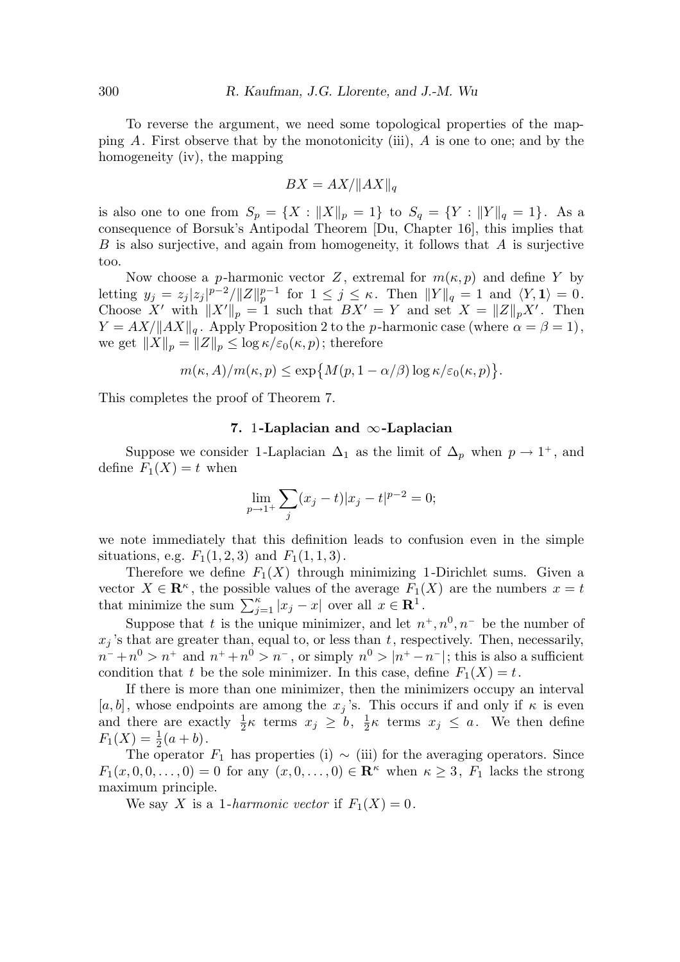To reverse the argument, we need some topological properties of the mapping  $A$ . First observe that by the monotonicity (iii),  $A$  is one to one; and by the homogeneity (iv), the mapping

$$
BX = AX/\|AX\|_q
$$

is also one to one from  $S_p = \{X : ||X||_p = 1\}$  to  $S_q = \{Y : ||Y||_q = 1\}$ . As a consequence of Borsuk's Antipodal Theorem [Du, Chapter 16], this implies that  $B$  is also surjective, and again from homogeneity, it follows that  $A$  is surjective too.

Now choose a p-harmonic vector Z, extremal for  $m(\kappa, p)$  and define Y by letting  $y_j = z_j |z_j|^{p-2} / ||Z||_p^{p-1}$  for  $1 \le j \le \kappa$ . Then  $||Y||_q = 1$  and  $\langle Y, \mathbf{1} \rangle = 0$ . Choose X' with  $||X'||_p = 1$  such that  $BX' = Y$  and set  $X = ||Z||_pX'$ . Then  $Y = AX/||AX||_q$ . Apply Proposition 2 to the p-harmonic case (where  $\alpha = \beta = 1$ ), we get  $||X||_p = ||Z||_p \leq \log \kappa / \varepsilon_0(\kappa, p)$ ; therefore

$$
m(\kappa, A)/m(\kappa, p) \le \exp\big\{M(p, 1-\alpha/\beta)\log \kappa/\varepsilon_0(\kappa, p)\big\}.
$$

This completes the proof of Theorem 7.

## 7. 1-Laplacian and ∞-Laplacian

Suppose we consider 1-Laplacian  $\Delta_1$  as the limit of  $\Delta_p$  when  $p \to 1^+$ , and define  $F_1(X) = t$  when

$$
\lim_{p \to 1^+} \sum_j (x_j - t) |x_j - t|^{p-2} = 0;
$$

we note immediately that this definition leads to confusion even in the simple situations, e.g.  $F_1(1, 2, 3)$  and  $F_1(1, 1, 3)$ .

Therefore we define  $F_1(X)$  through minimizing 1-Dirichlet sums. Given a vector  $X \in \mathbb{R}^k$ , the possible values of the average  $F_1(X)$  are the numbers  $x = t$ that minimize the sum  $\sum_{j=1}^{\kappa} |x_j - x|$  over all  $x \in \mathbb{R}^1$ .

Suppose that t is the unique minimizer, and let  $n^+, n^0, n^-$  be the number of  $x_j$ 's that are greater than, equal to, or less than t, respectively. Then, necessarily,  $n^{-}+n^{0} > n^{+}$  and  $n^{+}+n^{0} > n^{-}$ , or simply  $n^{0} > |n^{+}-n^{-}|$ ; this is also a sufficient condition that t be the sole minimizer. In this case, define  $F_1(X) = t$ .

If there is more than one minimizer, then the minimizers occupy an interval [a, b], whose endpoints are among the  $x_j$ 's. This occurs if and only if  $\kappa$  is even and there are exactly  $\frac{1}{2}\kappa$  terms  $x_j \geq b$ ,  $\frac{1}{2}$  $\frac{1}{2}\kappa$  terms  $x_j \leq a$ . We then define  $F_1(X) = \frac{1}{2}$  $rac{1}{2}(a + b)$ .

The operator  $F_1$  has properties (i) ~ (iii) for the averaging operators. Since  $F_1(x, 0, 0, \ldots, 0) = 0$  for any  $(x, 0, \ldots, 0) \in \mathbb{R}^{\kappa}$  when  $\kappa \geq 3$ ,  $F_1$  lacks the strong maximum principle.

We say X is a 1-harmonic vector if  $F_1(X) = 0$ .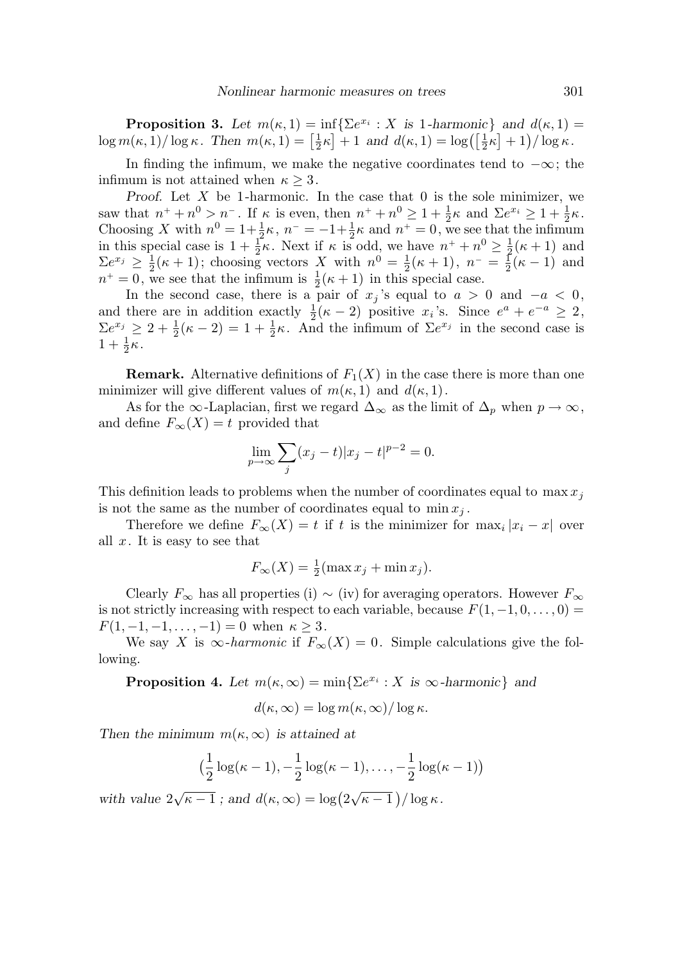**Proposition 3.** Let  $m(\kappa, 1) = \inf \{ \sum e^{x_i} : X \text{ is } 1\text{-harmonic} \}$  and  $d(\kappa, 1) =$  $\log m(\kappa, 1)/\log \kappa$ . Then  $m(\kappa, 1) = \left[\frac{1}{2}\right]$  $\frac{1}{2}\kappa$  + 1 and  $d(\kappa, 1) = \log\left(\left[\frac{1}{2}\kappa\right] + 1\right) / \log \kappa$ .

In finding the infimum, we make the negative coordinates tend to  $-\infty$ ; the infimum is not attained when  $\kappa \geq 3$ .

Proof. Let  $X$  be 1-harmonic. In the case that 0 is the sole minimizer, we saw that  $n^+ + n^0 > n^-$ . If  $\kappa$  is even, then  $n^+ + n^0 \geq 1 + \frac{1}{2}$  $\frac{1}{2}\kappa$  and  $\sum e^{x_i} \geq 1 + \frac{1}{2}$  $rac{1}{2}\kappa$ . Choosing X with  $n^0 = 1 + \frac{1}{2}$  $\frac{1}{2}\kappa, n^- = -1 + \frac{1}{2}$  $\frac{1}{2}\kappa$  and  $n^+=0$ , we see that the infimum in this special case is  $1+\frac{1}{2}$  $\frac{1}{2}\kappa$ . Next if  $\kappa$  is odd, we have  $n^+ + n^0 \geq \frac{1}{2}$  $rac{1}{2}(\kappa+1)$  and  $\sum e^{x_j} \geq \frac{1}{2}$  $\frac{1}{2}(\kappa+1)$ ; choosing vectors X with  $n^0 = \frac{1}{2}$  $\frac{1}{2}(\kappa+1), n^{-} = \frac{1}{2}$  $\frac{1}{2}(\kappa-1)$  and  $n^+ = 0$ , we see that the infimum is  $\frac{1}{2}(\kappa + 1)$  in this special case.

In the second case, there is a pair of  $x_j$ 's equal to  $a > 0$  and  $-a < 0$ , and there are in addition exactly  $\frac{1}{2}(\kappa-2)$  positive  $x_i$ 's. Since  $e^a + e^{-a} \geq 2$ ,  $\sum e^{x_j} \geq 2 + \frac{1}{2}$  $\frac{1}{2}(\kappa-2)=1+\frac{1}{2}$  $\frac{1}{2}\kappa$ . And the infimum of  $\Sigma e^{x_j}$  in the second case is  $1 + \frac{1}{2}$  $rac{1}{2}\kappa$ .

**Remark.** Alternative definitions of  $F_1(X)$  in the case there is more than one minimizer will give different values of  $m(\kappa, 1)$  and  $d(\kappa, 1)$ .

As for the  $\infty$ -Laplacian, first we regard  $\Delta_{\infty}$  as the limit of  $\Delta_p$  when  $p \to \infty$ , and define  $F_{\infty}(X) = t$  provided that

$$
\lim_{p \to \infty} \sum_{j} (x_j - t) |x_j - t|^{p-2} = 0.
$$

This definition leads to problems when the number of coordinates equal to  $\max x_i$ is not the same as the number of coordinates equal to  $\min x_i$ .

Therefore we define  $F_{\infty}(X) = t$  if t is the minimizer for  $\max_i |x_i - x|$  over all  $x$ . It is easy to see that

$$
F_{\infty}(X) = \frac{1}{2}(\max x_j + \min x_j).
$$

Clearly  $F_{\infty}$  has all properties (i) ~ (iv) for averaging operators. However  $F_{\infty}$ is not strictly increasing with respect to each variable, because  $F(1, -1, 0, \ldots, 0) =$  $F(1, -1, -1, \ldots, -1) = 0$  when  $\kappa \geq 3$ .

We say X is  $\infty$ -harmonic if  $F_{\infty}(X) = 0$ . Simple calculations give the following.

**Proposition 4.** Let  $m(\kappa, \infty) = \min\{\sum e^{x_i} : X \text{ is } \infty\text{-}harmonic\}$  and

$$
d(\kappa,\infty)=\log m(\kappa,\infty)/\log\kappa.
$$

Then the minimum  $m(\kappa,\infty)$  is attained at

$$
\big(\frac{1}{2}\log(\kappa-1),-\frac{1}{2}\log(\kappa-1),\ldots,-\frac{1}{2}\log(\kappa-1)\big)
$$

with value  $2\sqrt{\kappa-1}$ ; and  $d(\kappa,\infty) = \log(2\sqrt{\kappa-1})/\log \kappa$ .